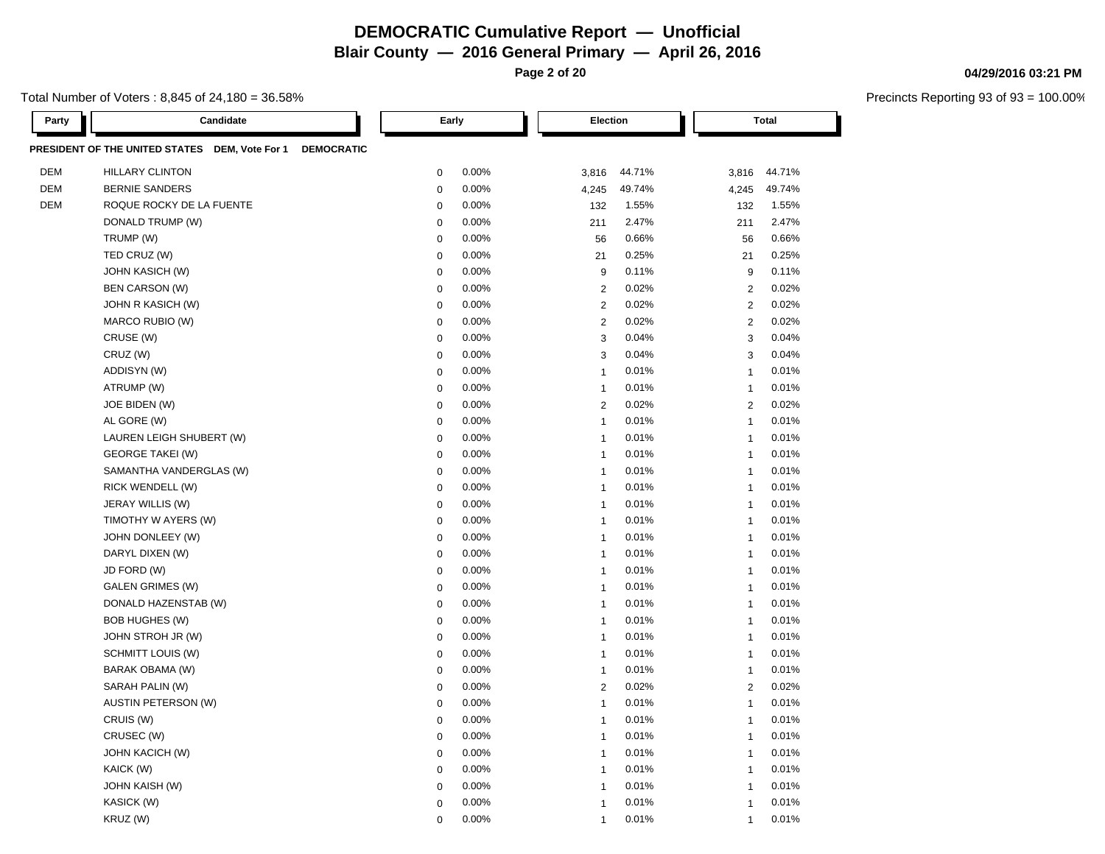**Blair County — 2016 General Primary — April 26, 2016**

**Page 2 of 20**

Total Number of Voters : 8,845 of 24,180 = 36.58%

| Party      | Candidate                                                 | Early                     | Election                | Total                   |
|------------|-----------------------------------------------------------|---------------------------|-------------------------|-------------------------|
|            | PRESIDENT OF THE UNITED STATES DEM, Vote For 1 DEMOCRATIC |                           |                         |                         |
| <b>DEM</b> | <b>HILLARY CLINTON</b>                                    | 0.00%<br>$\mathbf 0$      | 44.71%<br>3,816         | 44.71%<br>3,816         |
| <b>DEM</b> | <b>BERNIE SANDERS</b>                                     | 0.00%<br>$\mathbf 0$      | 49.74%<br>4,245         | 49.74%<br>4,245         |
| <b>DEM</b> | ROQUE ROCKY DE LA FUENTE                                  | 0.00%<br>$\mathbf 0$      | 1.55%<br>132            | 1.55%<br>132            |
|            | DONALD TRUMP (W)                                          | 0.00%<br>$\boldsymbol{0}$ | 2.47%<br>211            | 2.47%<br>211            |
|            | TRUMP (W)                                                 | $\mathbf 0$<br>0.00%      | 56<br>0.66%             | 0.66%<br>56             |
|            | TED CRUZ (W)                                              | 0.00%<br>$\mathbf 0$      | 0.25%<br>21             | 0.25%<br>21             |
|            | <b>JOHN KASICH (W)</b>                                    | 0.00%<br>$\mathbf 0$      | 9<br>0.11%              | 0.11%<br>9              |
|            | <b>BEN CARSON (W)</b>                                     | 0.00%<br>$\mathbf 0$      | 0.02%<br>$\overline{2}$ | 0.02%<br>2              |
|            | JOHN R KASICH (W)                                         | 0.00%<br>$\mathbf 0$      | $\overline{2}$<br>0.02% | 2<br>0.02%              |
|            | MARCO RUBIO (W)                                           | 0.00%<br>$\boldsymbol{0}$ | $\overline{2}$<br>0.02% | 0.02%<br>2              |
|            | CRUSE (W)                                                 | 0.00%<br>$\mathbf 0$      | 3<br>0.04%              | 0.04%<br>3              |
|            | CRUZ (W)                                                  | $\mathbf 0$<br>0.00%      | 0.04%<br>3              | 0.04%<br>3              |
|            | ADDISYN (W)                                               | 0.00%<br>$\boldsymbol{0}$ | 0.01%<br>$\overline{1}$ | 0.01%<br>$\mathbf{1}$   |
|            | ATRUMP (W)                                                | 0.00%<br>$\mathbf 0$      | 0.01%<br>$\overline{1}$ | 0.01%<br>$\mathbf{1}$   |
|            | JOE BIDEN (W)                                             | 0.00%<br>$\mathbf 0$      | $\overline{2}$<br>0.02% | 2<br>0.02%              |
|            | AL GORE (W)                                               | $\mathbf 0$<br>0.00%      | 0.01%<br>$\overline{1}$ | 0.01%<br>$\mathbf{1}$   |
|            | LAUREN LEIGH SHUBERT (W)                                  | $\mathbf 0$<br>0.00%      | 0.01%<br>$\overline{1}$ | 0.01%<br>$\mathbf{1}$   |
|            | <b>GEORGE TAKEI (W)</b>                                   | 0.00%<br>$\mathbf 0$      | 0.01%<br>$\overline{1}$ | 0.01%<br>$\mathbf{1}$   |
|            | SAMANTHA VANDERGLAS (W)                                   | 0.00%<br>$\mathbf 0$      | 0.01%<br>$\overline{1}$ | 0.01%<br>$\mathbf{1}$   |
|            | RICK WENDELL (W)                                          | $\mathbf 0$<br>0.00%      | 0.01%<br>$\overline{1}$ | 0.01%<br>$\mathbf{1}$   |
|            | JERAY WILLIS (W)                                          | 0.00%<br>$\mathbf 0$      | 0.01%<br>$\overline{1}$ | 0.01%<br>$\mathbf{1}$   |
|            | TIMOTHY W AYERS (W)                                       | 0.00%<br>$\mathbf 0$      | 0.01%<br>$\overline{1}$ | 0.01%<br>$\mathbf{1}$   |
|            | JOHN DONLEEY (W)                                          | 0.00%<br>$\mathbf 0$      | 0.01%<br>$\overline{1}$ | 0.01%<br>$\mathbf{1}$   |
|            | DARYL DIXEN (W)                                           | 0.00%<br>$\mathbf 0$      | 0.01%<br>$\overline{1}$ | 0.01%<br>$\mathbf{1}$   |
|            | JD FORD (W)                                               | 0.00%<br>$\mathbf 0$      | 0.01%<br>$\overline{1}$ | 0.01%<br>$\mathbf{1}$   |
|            | <b>GALEN GRIMES (W)</b>                                   | 0.00%<br>$\mathbf 0$      | 0.01%<br>$\overline{1}$ | 0.01%<br>$\mathbf{1}$   |
|            | DONALD HAZENSTAB (W)                                      | $\boldsymbol{0}$<br>0.00% | 0.01%<br>$\overline{1}$ | 0.01%<br>$\mathbf{1}$   |
|            | <b>BOB HUGHES (W)</b>                                     | 0.00%<br>$\mathbf 0$      | 0.01%<br>$\overline{1}$ | 0.01%<br>$\mathbf{1}$   |
|            | JOHN STROH JR (W)                                         | 0.00%<br>$\mathbf 0$      | 0.01%<br>$\overline{1}$ | 0.01%<br>$\mathbf{1}$   |
|            | SCHMITT LOUIS (W)                                         | 0.00%<br>$\boldsymbol{0}$ | 0.01%<br>$\overline{1}$ | 0.01%<br>$\mathbf{1}$   |
|            | BARAK OBAMA (W)                                           | 0.00%<br>$\mathbf 0$      | 0.01%<br>$\overline{1}$ | 0.01%<br>$\mathbf{1}$   |
|            | SARAH PALIN (W)                                           | 0.00%<br>$\mathbf 0$      | 0.02%<br>$\overline{2}$ | 0.02%<br>2              |
|            | <b>AUSTIN PETERSON (W)</b>                                | 0.00%<br>$\mathbf 0$      | 0.01%<br>$\overline{1}$ | 0.01%<br>$\mathbf{1}$   |
|            | CRUIS (W)                                                 | 0.00%<br>$\mathbf 0$      | 0.01%<br>$\overline{1}$ | 0.01%<br>$\mathbf{1}$   |
|            | CRUSEC (W)                                                | $\mathbf 0$<br>0.00%      | 0.01%<br>$\overline{1}$ | 0.01%<br>$\mathbf{1}$   |
|            | <b>JOHN KACICH (W)</b>                                    | $\mathbf 0$<br>0.00%      | 0.01%<br>$\overline{1}$ | 0.01%<br>$\mathbf{1}$   |
|            | KAICK (W)                                                 | 0.00%<br>$\mathbf 0$      | 0.01%<br>$\overline{1}$ | 0.01%<br>$\mathbf{1}$   |
|            | <b>JOHN KAISH (W)</b>                                     | 0.00%<br>$\mathbf 0$      | 0.01%<br>$\overline{1}$ | 0.01%<br>-1             |
|            | KASICK (W)                                                | 0.00%<br>$\mathbf 0$      | 0.01%<br>$\overline{1}$ | 0.01%<br>$\overline{1}$ |
|            | KRUZ (W)                                                  | 0.00%<br>$\Omega$         | 0.01%<br>$\overline{1}$ | 0.01%<br>$\overline{1}$ |

### **04/29/2016 03:21 PM**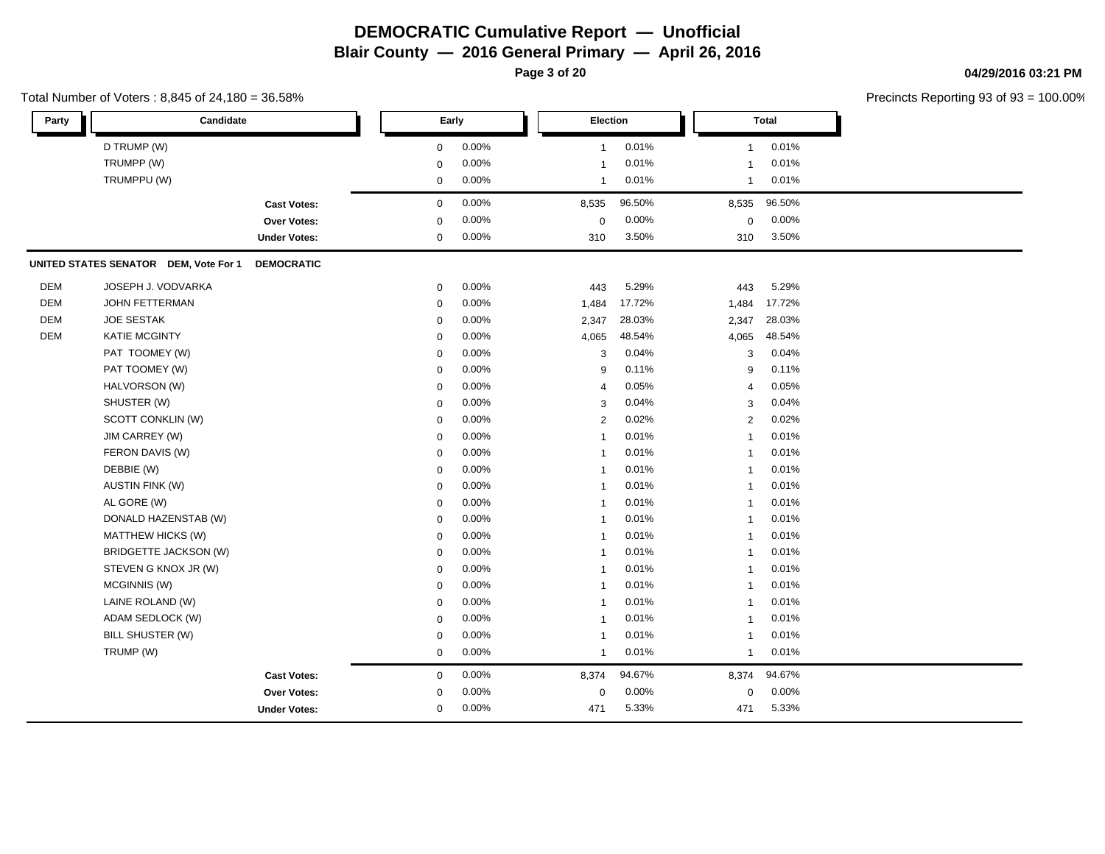**Page 3 of 20**

## Total Number of Voters : 8,845 of 24,180 = 36.58%

**04/29/2016 03:21 PM**

| Party      | Candidate                             |                     |                  | Early | Election                |        |                         | <b>Total</b> |  |
|------------|---------------------------------------|---------------------|------------------|-------|-------------------------|--------|-------------------------|--------------|--|
|            | D TRUMP (W)                           |                     | $\boldsymbol{0}$ | 0.00% | $\mathbf{1}$            | 0.01%  | $\mathbf{1}$            | 0.01%        |  |
|            | TRUMPP (W)                            |                     | $\mathbf 0$      | 0.00% | $\overline{\mathbf{1}}$ | 0.01%  | $\overline{1}$          | 0.01%        |  |
|            | TRUMPPU (W)                           |                     | $\pmb{0}$        | 0.00% | -1                      | 0.01%  | $\mathbf 1$             | 0.01%        |  |
|            |                                       | <b>Cast Votes:</b>  | $\mathbf 0$      | 0.00% | 8,535                   | 96.50% | 8,535                   | 96.50%       |  |
|            |                                       | Over Votes:         | $\overline{0}$   | 0.00% | 0                       | 0.00%  | $\mathbf 0$             | 0.00%        |  |
|            |                                       | <b>Under Votes:</b> | $\mathbf 0$      | 0.00% | 310                     | 3.50%  | 310                     | 3.50%        |  |
|            | UNITED STATES SENATOR DEM, Vote For 1 | <b>DEMOCRATIC</b>   |                  |       |                         |        |                         |              |  |
| DEM        | JOSEPH J. VODVARKA                    |                     | $\mathbf 0$      | 0.00% | 443                     | 5.29%  | 443                     | 5.29%        |  |
| <b>DEM</b> | <b>JOHN FETTERMAN</b>                 |                     | $\mathbf 0$      | 0.00% | 1,484                   | 17.72% | 1,484                   | 17.72%       |  |
| DEM        | <b>JOE SESTAK</b>                     |                     | $\mathbf 0$      | 0.00% | 2,347                   | 28.03% | 2,347                   | 28.03%       |  |
| <b>DEM</b> | <b>KATIE MCGINTY</b>                  |                     | $\mathbf 0$      | 0.00% | 4,065                   | 48.54% | 4,065                   | 48.54%       |  |
|            | PAT TOOMEY (W)                        |                     | $\mathbf 0$      | 0.00% | 3                       | 0.04%  | 3                       | 0.04%        |  |
|            | PAT TOOMEY (W)                        |                     | $\mathbf 0$      | 0.00% | 9                       | 0.11%  | 9                       | 0.11%        |  |
|            | HALVORSON (W)                         |                     | $\mathbf 0$      | 0.00% | 4                       | 0.05%  | $\overline{4}$          | 0.05%        |  |
|            | SHUSTER (W)                           |                     | 0                | 0.00% | 3                       | 0.04%  | 3                       | 0.04%        |  |
|            | SCOTT CONKLIN (W)                     |                     | $\mathbf 0$      | 0.00% | $\overline{2}$          | 0.02%  | $\sqrt{2}$              | 0.02%        |  |
|            | JIM CARREY (W)                        |                     | 0                | 0.00% | 1                       | 0.01%  | $\overline{\mathbf{1}}$ | 0.01%        |  |
|            | FERON DAVIS (W)                       |                     | $\mathbf{0}$     | 0.00% | -1                      | 0.01%  | -1                      | 0.01%        |  |
|            | DEBBIE (W)                            |                     | $\mathbf 0$      | 0.00% | -1                      | 0.01%  | $\overline{1}$          | 0.01%        |  |
|            | <b>AUSTIN FINK (W)</b>                |                     | $\mathbf 0$      | 0.00% | -1                      | 0.01%  | $\overline{1}$          | 0.01%        |  |
|            | AL GORE (W)                           |                     | $\mathbf 0$      | 0.00% | -1                      | 0.01%  | $\overline{1}$          | 0.01%        |  |
|            | DONALD HAZENSTAB (W)                  |                     | $\Omega$         | 0.00% | -1                      | 0.01%  | $\overline{1}$          | 0.01%        |  |
|            | MATTHEW HICKS (W)                     |                     | $\Omega$         | 0.00% | -1                      | 0.01%  | $\overline{\mathbf{1}}$ | 0.01%        |  |
|            | <b>BRIDGETTE JACKSON (W)</b>          |                     | $\mathbf 0$      | 0.00% | -1                      | 0.01%  | $\overline{1}$          | 0.01%        |  |
|            | STEVEN G KNOX JR (W)                  |                     | $\mathbf 0$      | 0.00% | -1                      | 0.01%  | $\overline{1}$          | 0.01%        |  |
|            | MCGINNIS (W)                          |                     | $\Omega$         | 0.00% |                         | 0.01%  | $\overline{\mathbf{1}}$ | 0.01%        |  |
|            | LAINE ROLAND (W)                      |                     | $\mathbf 0$      | 0.00% | -1                      | 0.01%  | $\overline{1}$          | 0.01%        |  |
|            | ADAM SEDLOCK (W)                      |                     | $\mathbf 0$      | 0.00% | -1                      | 0.01%  | $\overline{1}$          | 0.01%        |  |
|            | BILL SHUSTER (W)                      |                     | $\mathbf 0$      | 0.00% | -1                      | 0.01%  | $\overline{1}$          | 0.01%        |  |
|            | TRUMP (W)                             |                     | $\boldsymbol{0}$ | 0.00% | 1                       | 0.01%  | $\overline{1}$          | 0.01%        |  |
|            |                                       | <b>Cast Votes:</b>  | $\mathbf 0$      | 0.00% | 8,374                   | 94.67% | 8,374                   | 94.67%       |  |
|            |                                       | <b>Over Votes:</b>  | $\Omega$         | 0.00% | $\mathbf 0$             | 0.00%  | $\mathbf 0$             | 0.00%        |  |
|            |                                       | <b>Under Votes:</b> | $\Omega$         | 0.00% | 471                     | 5.33%  | 471                     | 5.33%        |  |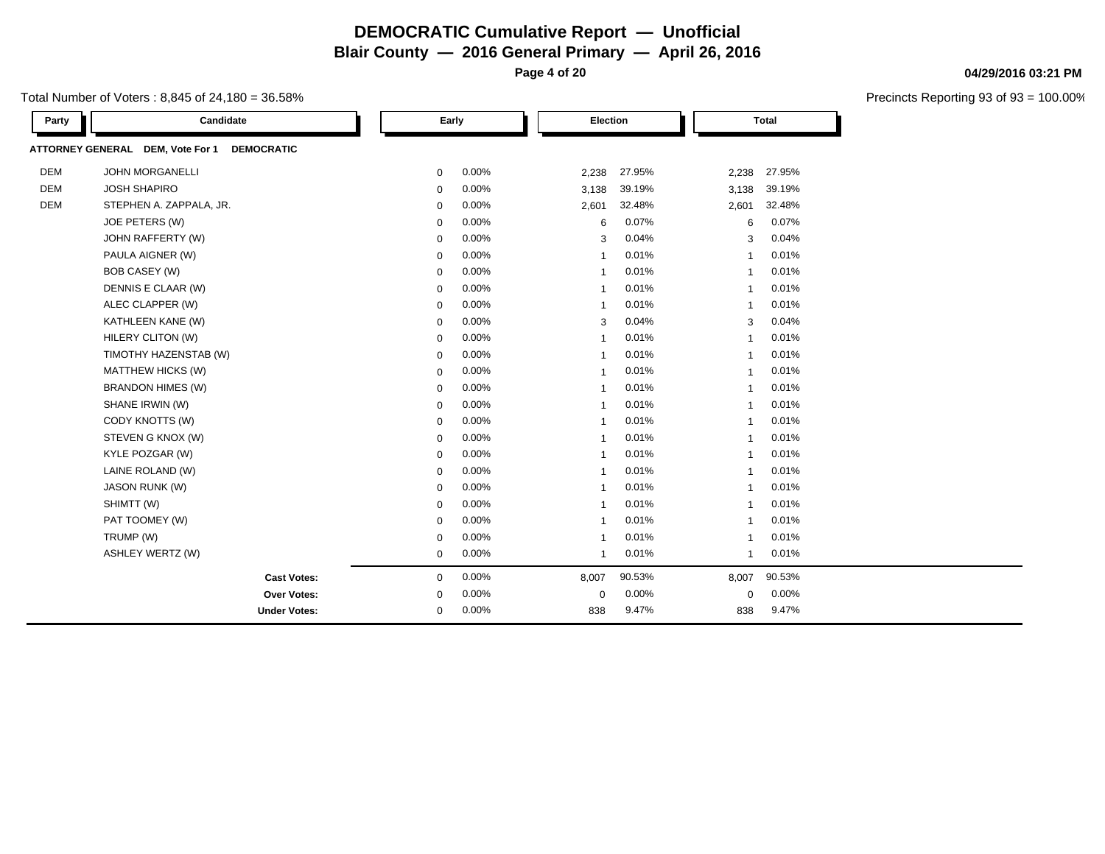**Page 4 of 20**

## Total Number of Voters : 8,845 of 24,180 = 36.58%

| Party      | Candidate                                             |             | Early | <b>Election</b>         |        |                | <b>Total</b> |  |
|------------|-------------------------------------------------------|-------------|-------|-------------------------|--------|----------------|--------------|--|
|            | ATTORNEY GENERAL DEM, Vote For 1<br><b>DEMOCRATIC</b> |             |       |                         |        |                |              |  |
| <b>DEM</b> | <b>JOHN MORGANELLI</b>                                | $\mathbf 0$ | 0.00% | 2,238                   | 27.95% | 2,238          | 27.95%       |  |
| <b>DEM</b> | <b>JOSH SHAPIRO</b>                                   | 0           | 0.00% | 3,138                   | 39.19% | 3,138          | 39.19%       |  |
| <b>DEM</b> | STEPHEN A. ZAPPALA, JR.                               | $\mathbf 0$ | 0.00% | 2,601                   | 32.48% | 2,601          | 32.48%       |  |
|            | JOE PETERS (W)                                        | $\mathbf 0$ | 0.00% | 6                       | 0.07%  | 6              | 0.07%        |  |
|            | JOHN RAFFERTY (W)                                     | $\mathbf 0$ | 0.00% | 3                       | 0.04%  | 3              | 0.04%        |  |
|            | PAULA AIGNER (W)                                      | $\mathbf 0$ | 0.00% | -1                      | 0.01%  | $\overline{1}$ | 0.01%        |  |
|            | <b>BOB CASEY (W)</b>                                  | $\mathbf 0$ | 0.00% | $\overline{\mathbf{1}}$ | 0.01%  | $\overline{1}$ | 0.01%        |  |
|            | DENNIS E CLAAR (W)                                    | 0           | 0.00% | $\overline{\mathbf{1}}$ | 0.01%  | $\mathbf{1}$   | 0.01%        |  |
|            | ALEC CLAPPER (W)                                      | 0           | 0.00% | $\overline{1}$          | 0.01%  | $\mathbf{1}$   | 0.01%        |  |
|            | KATHLEEN KANE (W)                                     | 0           | 0.00% | 3                       | 0.04%  | 3              | 0.04%        |  |
|            | HILERY CLITON (W)                                     | 0           | 0.00% | $\overline{\mathbf{1}}$ | 0.01%  | $\overline{1}$ | 0.01%        |  |
|            | TIMOTHY HAZENSTAB (W)                                 | $\mathbf 0$ | 0.00% | -1                      | 0.01%  | -1             | 0.01%        |  |
|            | MATTHEW HICKS (W)                                     | $\mathbf 0$ | 0.00% | $\overline{\mathbf{1}}$ | 0.01%  | $\mathbf 1$    | 0.01%        |  |
|            | <b>BRANDON HIMES (W)</b>                              | 0           | 0.00% | $\overline{\mathbf{1}}$ | 0.01%  | $\mathbf 1$    | 0.01%        |  |
|            | SHANE IRWIN (W)                                       | $\mathbf 0$ | 0.00% | $\overline{\mathbf{1}}$ | 0.01%  | $\mathbf{1}$   | 0.01%        |  |
|            | CODY KNOTTS (W)                                       | 0           | 0.00% | -1                      | 0.01%  | -1             | 0.01%        |  |
|            | STEVEN G KNOX (W)                                     | 0           | 0.00% | -1                      | 0.01%  | -1             | 0.01%        |  |
|            | KYLE POZGAR (W)                                       | $\mathbf 0$ | 0.00% | -1                      | 0.01%  | $\mathbf{1}$   | 0.01%        |  |
|            | LAINE ROLAND (W)                                      | $\mathbf 0$ | 0.00% | -1                      | 0.01%  | $\overline{1}$ | 0.01%        |  |
|            | <b>JASON RUNK (W)</b>                                 | 0           | 0.00% | $\overline{\mathbf{1}}$ | 0.01%  | $\overline{1}$ | 0.01%        |  |
|            | SHIMTT (W)                                            | $\mathbf 0$ | 0.00% | -1                      | 0.01%  | -1             | 0.01%        |  |
|            | PAT TOOMEY (W)                                        | $\mathbf 0$ | 0.00% | $\overline{\mathbf{1}}$ | 0.01%  | $\overline{1}$ | 0.01%        |  |
|            | TRUMP (W)                                             | 0           | 0.00% | -1                      | 0.01%  | -1             | 0.01%        |  |
|            | ASHLEY WERTZ (W)                                      | $\mathbf 0$ | 0.00% | -1                      | 0.01%  | -1             | 0.01%        |  |
|            | <b>Cast Votes:</b>                                    | $\mathbf 0$ | 0.00% | 8,007                   | 90.53% | 8,007          | 90.53%       |  |
|            | Over Votes:                                           | $\mathbf 0$ | 0.00% | $\mathbf 0$             | 0.00%  | 0              | 0.00%        |  |
|            | <b>Under Votes:</b>                                   | $\mathbf 0$ | 0.00% | 838                     | 9.47%  | 838            | 9.47%        |  |

# **04/29/2016 03:21 PM**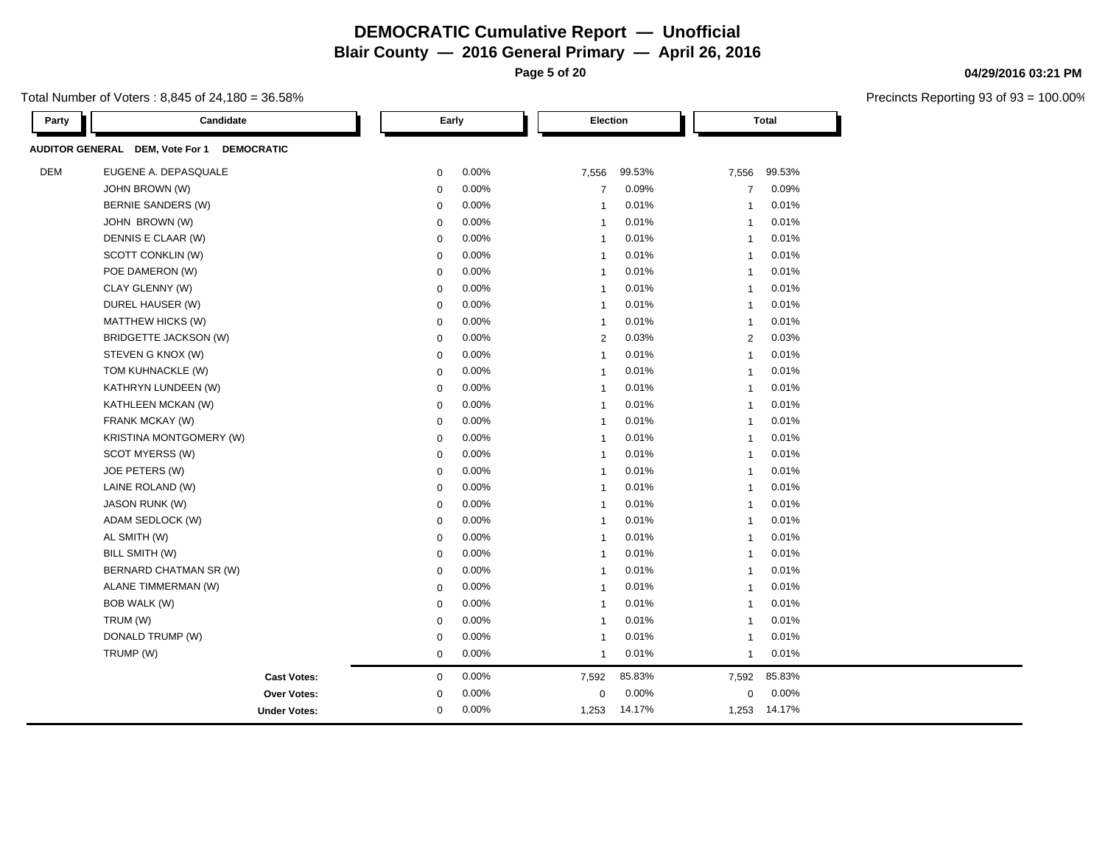**Blair County — 2016 General Primary — April 26, 2016**

**Page 5 of 20**

## Total Number of Voters : 8,845 of 24,180 = 36.58%

| Candidate<br>Party                                   | Early            |       | Election       |        |                | <b>Total</b> |
|------------------------------------------------------|------------------|-------|----------------|--------|----------------|--------------|
| AUDITOR GENERAL DEM, Vote For 1<br><b>DEMOCRATIC</b> |                  |       |                |        |                |              |
| <b>DEM</b><br>EUGENE A. DEPASQUALE                   | $\boldsymbol{0}$ | 0.00% | 7,556          | 99.53% | 7,556          | 99.53%       |
| JOHN BROWN (W)                                       | $\boldsymbol{0}$ | 0.00% | $\overline{7}$ | 0.09%  | $\overline{7}$ | 0.09%        |
| BERNIE SANDERS (W)                                   | $\mathbf 0$      | 0.00% | $\overline{1}$ | 0.01%  | $\mathbf{1}$   | 0.01%        |
| JOHN BROWN (W)                                       | $\mathbf 0$      | 0.00% | $\mathbf{1}$   | 0.01%  | $\mathbf{1}$   | 0.01%        |
| DENNIS E CLAAR (W)                                   | $\mathbf 0$      | 0.00% | $\mathbf{1}$   | 0.01%  | $\mathbf{1}$   | 0.01%        |
| SCOTT CONKLIN (W)                                    | $\mathbf 0$      | 0.00% | $\mathbf{1}$   | 0.01%  | $\mathbf{1}$   | 0.01%        |
| POE DAMERON (W)                                      | $\mathbf 0$      | 0.00% | $\mathbf{1}$   | 0.01%  | $\mathbf{1}$   | 0.01%        |
| CLAY GLENNY (W)                                      | $\mathbf 0$      | 0.00% | $\mathbf{1}$   | 0.01%  | $\mathbf{1}$   | 0.01%        |
| DUREL HAUSER (W)                                     | $\mathbf 0$      | 0.00% | $\mathbf{1}$   | 0.01%  | $\mathbf{1}$   | 0.01%        |
| MATTHEW HICKS (W)                                    | $\mathbf 0$      | 0.00% | $\mathbf{1}$   | 0.01%  | $\mathbf{1}$   | 0.01%        |
| BRIDGETTE JACKSON (W)                                | $\mathbf 0$      | 0.00% | $\overline{2}$ | 0.03%  | $\overline{2}$ | 0.03%        |
| STEVEN G KNOX (W)                                    | $\mathbf 0$      | 0.00% | $\mathbf{1}$   | 0.01%  | $\mathbf{1}$   | 0.01%        |
| TOM KUHNACKLE (W)                                    | $\mathbf 0$      | 0.00% | $\overline{1}$ | 0.01%  | $\mathbf{1}$   | 0.01%        |
| KATHRYN LUNDEEN (W)                                  | $\mathbf 0$      | 0.00% | $\overline{1}$ | 0.01%  | $\mathbf{1}$   | 0.01%        |
| KATHLEEN MCKAN (W)                                   | $\mathbf 0$      | 0.00% | $\mathbf{1}$   | 0.01%  | $\mathbf{1}$   | 0.01%        |
| FRANK MCKAY (W)                                      | $\mathbf 0$      | 0.00% | $\mathbf{1}$   | 0.01%  | $\mathbf{1}$   | 0.01%        |
| KRISTINA MONTGOMERY (W)                              | $\mathbf 0$      | 0.00% | $\mathbf{1}$   | 0.01%  | $\mathbf{1}$   | 0.01%        |
| SCOT MYERSS (W)                                      | $\mathbf 0$      | 0.00% | $\mathbf{1}$   | 0.01%  | $\mathbf{1}$   | 0.01%        |
| JOE PETERS (W)                                       | $\mathbf 0$      | 0.00% | $\overline{1}$ | 0.01%  | $\mathbf{1}$   | 0.01%        |
| LAINE ROLAND (W)                                     | $\mathbf 0$      | 0.00% | $\mathbf{1}$   | 0.01%  | $\mathbf{1}$   | 0.01%        |
| <b>JASON RUNK (W)</b>                                | $\mathbf 0$      | 0.00% | $\mathbf{1}$   | 0.01%  | $\mathbf{1}$   | 0.01%        |
| ADAM SEDLOCK (W)                                     | $\mathbf 0$      | 0.00% | $\mathbf{1}$   | 0.01%  | $\mathbf{1}$   | 0.01%        |
| AL SMITH (W)                                         | $\mathbf 0$      | 0.00% | $\mathbf{1}$   | 0.01%  | $\mathbf{1}$   | 0.01%        |
| BILL SMITH (W)                                       | $\mathbf 0$      | 0.00% | $\mathbf{1}$   | 0.01%  | $\mathbf{1}$   | 0.01%        |
| BERNARD CHATMAN SR (W)                               | $\pmb{0}$        | 0.00% | $\mathbf{1}$   | 0.01%  | $\mathbf{1}$   | 0.01%        |
| ALANE TIMMERMAN (W)                                  | $\boldsymbol{0}$ | 0.00% | $\overline{1}$ | 0.01%  | $\mathbf{1}$   | 0.01%        |
| <b>BOB WALK (W)</b>                                  | $\mathbf 0$      | 0.00% | $\overline{1}$ | 0.01%  | $\mathbf{1}$   | 0.01%        |
| TRUM (W)                                             | $\pmb{0}$        | 0.00% | $\overline{1}$ | 0.01%  | $\mathbf{1}$   | 0.01%        |
| DONALD TRUMP (W)                                     | $\mathbf 0$      | 0.00% | $\overline{1}$ | 0.01%  | $\mathbf 1$    | 0.01%        |
| TRUMP (W)                                            | $\mathbf 0$      | 0.00% | $\mathbf{1}$   | 0.01%  | 1              | 0.01%        |
| <b>Cast Votes:</b>                                   | $\mathbf 0$      | 0.00% | 7,592          | 85.83% | 7,592          | 85.83%       |
| <b>Over Votes:</b>                                   | 0                | 0.00% | $\mathbf 0$    | 0.00%  | $\mathbf 0$    | 0.00%        |
| <b>Under Votes:</b>                                  | $\mathbf 0$      | 0.00% | 1,253          | 14.17% |                | 1,253 14.17% |

## **04/29/2016 03:21 PM**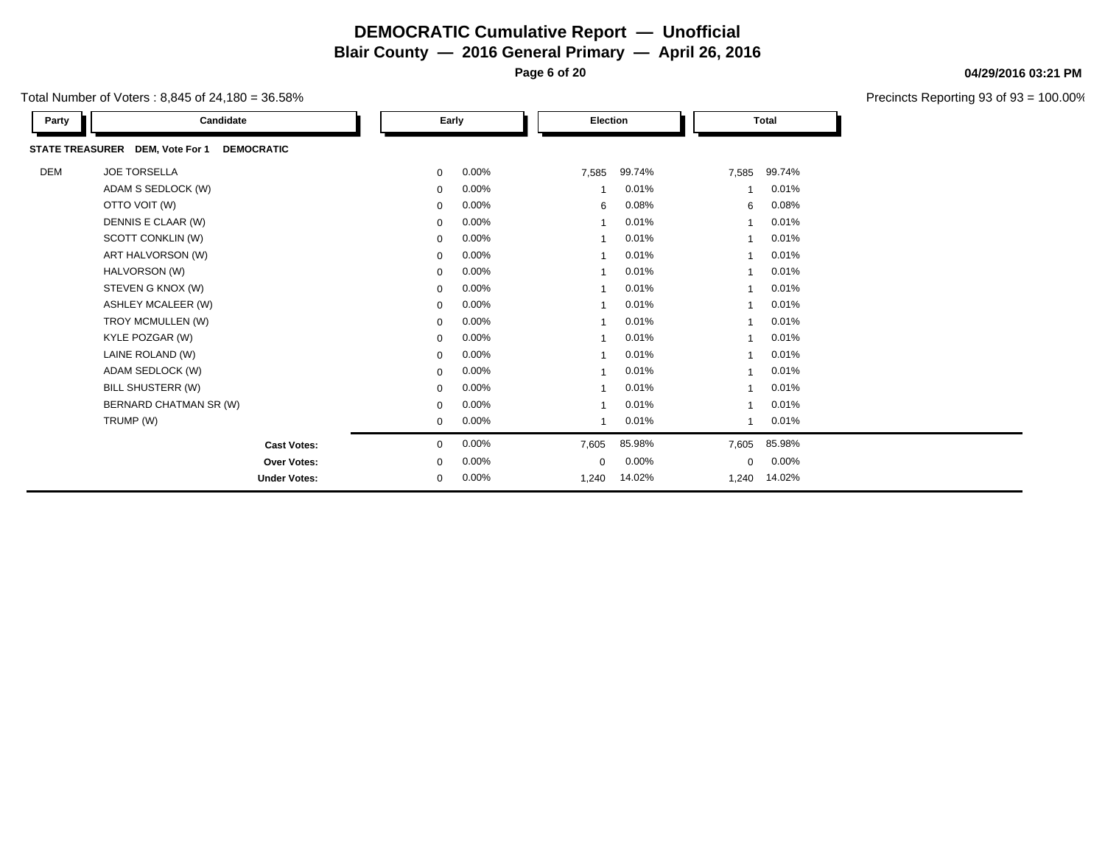**Page 6 of 20**

|  | Total Number of Voters : 8.845 of 24.180 = 36.58% |  |
|--|---------------------------------------------------|--|
|--|---------------------------------------------------|--|

| Party | Candidate                                            |             | Early | Election |        |       | <b>Total</b> |
|-------|------------------------------------------------------|-------------|-------|----------|--------|-------|--------------|
|       | STATE TREASURER DEM, Vote For 1<br><b>DEMOCRATIC</b> |             |       |          |        |       |              |
| DEM   | <b>JOE TORSELLA</b>                                  | $\mathbf 0$ | 0.00% | 7,585    | 99.74% | 7,585 | 99.74%       |
|       | ADAM S SEDLOCK (W)                                   | $\mathbf 0$ | 0.00% |          | 0.01%  |       | 0.01%        |
|       | OTTO VOIT (W)                                        | $\mathbf 0$ | 0.00% | 6        | 0.08%  | 6     | 0.08%        |
|       | DENNIS E CLAAR (W)                                   | $\mathbf 0$ | 0.00% |          | 0.01%  |       | 0.01%        |
|       | SCOTT CONKLIN (W)                                    | $\mathbf 0$ | 0.00% |          | 0.01%  |       | 0.01%        |
|       | ART HALVORSON (W)                                    | $\mathbf 0$ | 0.00% |          | 0.01%  |       | 0.01%        |
|       | HALVORSON (W)                                        | $\mathbf 0$ | 0.00% |          | 0.01%  |       | 0.01%        |
|       | STEVEN G KNOX (W)                                    | $\mathbf 0$ | 0.00% |          | 0.01%  |       | 0.01%        |
|       | <b>ASHLEY MCALEER (W)</b>                            | $\mathbf 0$ | 0.00% |          | 0.01%  |       | 0.01%        |
|       | TROY MCMULLEN (W)                                    | 0           | 0.00% |          | 0.01%  |       | 0.01%        |
|       | KYLE POZGAR (W)                                      | $\mathbf 0$ | 0.00% |          | 0.01%  |       | 0.01%        |
|       | LAINE ROLAND (W)                                     | $\mathbf 0$ | 0.00% |          | 0.01%  |       | 0.01%        |
|       | ADAM SEDLOCK (W)                                     | $\mathbf 0$ | 0.00% |          | 0.01%  |       | 0.01%        |
|       | BILL SHUSTERR (W)                                    | $\mathbf 0$ | 0.00% |          | 0.01%  |       | 0.01%        |
|       | BERNARD CHATMAN SR (W)                               | $\mathbf 0$ | 0.00% |          | 0.01%  |       | 0.01%        |
|       | TRUMP (W)                                            | $\mathbf 0$ | 0.00% |          | 0.01%  |       | 0.01%        |
|       | <b>Cast Votes:</b>                                   | 0           | 0.00% | 7,605    | 85.98% | 7,605 | 85.98%       |
|       | <b>Over Votes:</b>                                   | $\mathbf 0$ | 0.00% | 0        | 0.00%  | 0     | 0.00%        |
|       | <b>Under Votes:</b>                                  | $\mathbf 0$ | 0.00% | 1,240    | 14.02% | 1,240 | 14.02%       |

### **04/29/2016 03:21 PM**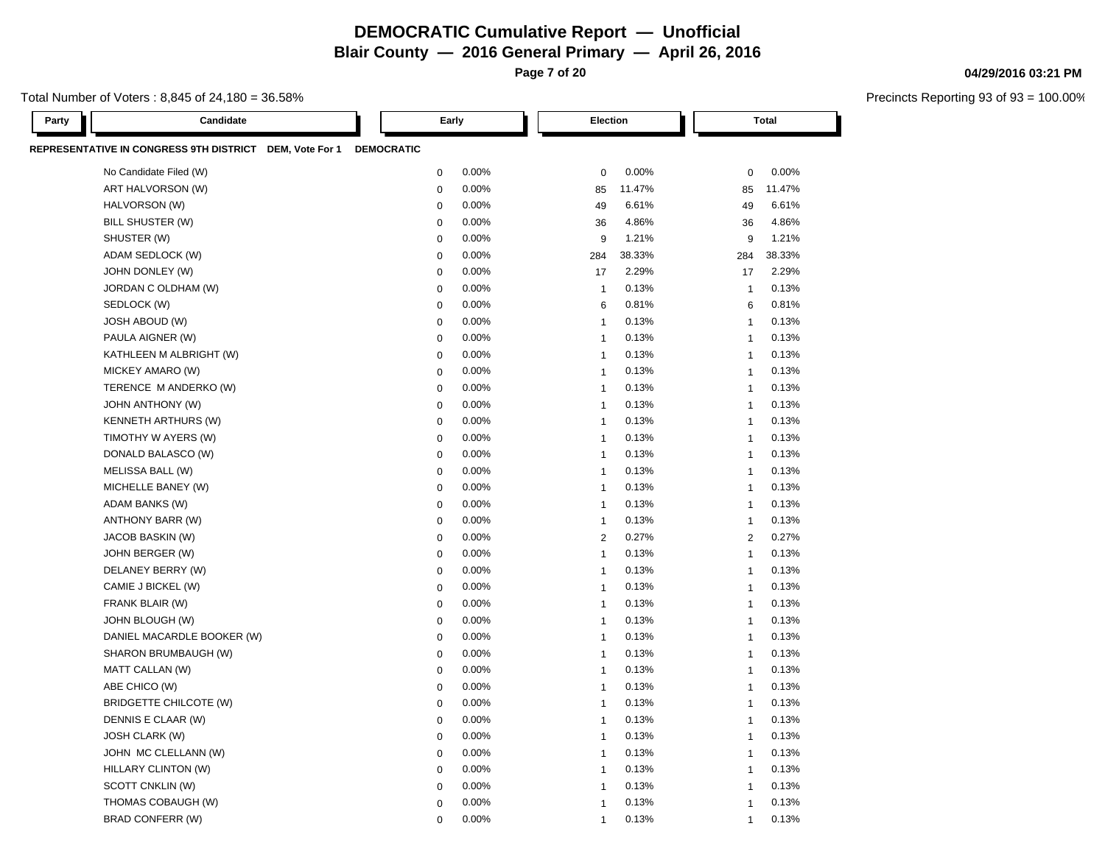**Blair County — 2016 General Primary — April 26, 2016**

**Page 7 of 20**

Total Number of Voters : 8,845 of 24,180 = 36.58%

| Party | Candidate                                               |                   | Early            |       | <b>Election</b> |        |                | <b>Total</b> |
|-------|---------------------------------------------------------|-------------------|------------------|-------|-----------------|--------|----------------|--------------|
|       | REPRESENTATIVE IN CONGRESS 9TH DISTRICT DEM, Vote For 1 | <b>DEMOCRATIC</b> |                  |       |                 |        |                |              |
|       | No Candidate Filed (W)                                  |                   | $\pmb{0}$        | 0.00% | $\mathbf 0$     | 0.00%  | $\mathbf 0$    | 0.00%        |
|       | ART HALVORSON (W)                                       |                   | $\mathbf 0$      | 0.00% | 85              | 11.47% | 85             | 11.47%       |
|       | HALVORSON (W)                                           |                   | $\mathbf 0$      | 0.00% | 49              | 6.61%  | 49             | 6.61%        |
|       | BILL SHUSTER (W)                                        |                   | $\Omega$         | 0.00% | 36              | 4.86%  | 36             | 4.86%        |
|       | SHUSTER (W)                                             |                   | $\boldsymbol{0}$ | 0.00% | 9               | 1.21%  | 9              | 1.21%        |
|       | ADAM SEDLOCK (W)                                        |                   | $\mathbf 0$      | 0.00% | 284             | 38.33% | 284            | 38.33%       |
|       | JOHN DONLEY (W)                                         |                   | $\boldsymbol{0}$ | 0.00% | 17              | 2.29%  | 17             | 2.29%        |
|       | JORDAN C OLDHAM (W)                                     |                   | $\mathbf 0$      | 0.00% | $\mathbf{1}$    | 0.13%  | $\mathbf{1}$   | 0.13%        |
|       | SEDLOCK (W)                                             |                   | $\mathbf 0$      | 0.00% | 6               | 0.81%  | 6              | 0.81%        |
|       | JOSH ABOUD (W)                                          |                   | $\mathbf 0$      | 0.00% | $\mathbf{1}$    | 0.13%  | $\mathbf{1}$   | 0.13%        |
|       | PAULA AIGNER (W)                                        |                   | $\boldsymbol{0}$ | 0.00% | $\mathbf{1}$    | 0.13%  | $\mathbf{1}$   | 0.13%        |
|       | KATHLEEN M ALBRIGHT (W)                                 |                   | $\mathbf 0$      | 0.00% | $\mathbf{1}$    | 0.13%  | $\mathbf{1}$   | 0.13%        |
|       | MICKEY AMARO (W)                                        |                   | $\mathbf 0$      | 0.00% | $\overline{1}$  | 0.13%  | $\mathbf{1}$   | 0.13%        |
|       | TERENCE M ANDERKO (W)                                   |                   | $\pmb{0}$        | 0.00% | $\mathbf{1}$    | 0.13%  | $\mathbf{1}$   | 0.13%        |
|       | <b>JOHN ANTHONY (W)</b>                                 |                   | $\mathbf 0$      | 0.00% | $\mathbf{1}$    | 0.13%  | $\mathbf{1}$   | 0.13%        |
|       | <b>KENNETH ARTHURS (W)</b>                              |                   | $\mathbf 0$      | 0.00% | $\overline{1}$  | 0.13%  | $\mathbf{1}$   | 0.13%        |
|       | TIMOTHY W AYERS (W)                                     |                   | $\mathbf 0$      | 0.00% | $\overline{1}$  | 0.13%  | $\mathbf{1}$   | 0.13%        |
|       | DONALD BALASCO (W)                                      |                   | $\mathbf 0$      | 0.00% | $\mathbf{1}$    | 0.13%  | $\mathbf{1}$   | 0.13%        |
|       | MELISSA BALL (W)                                        |                   | $\mathbf 0$      | 0.00% | $\overline{1}$  | 0.13%  | $\mathbf{1}$   | 0.13%        |
|       | MICHELLE BANEY (W)                                      |                   | $\boldsymbol{0}$ | 0.00% | $\overline{1}$  | 0.13%  | $\mathbf{1}$   | 0.13%        |
|       | ADAM BANKS (W)                                          |                   | $\mathbf 0$      | 0.00% | $\overline{1}$  | 0.13%  | $\mathbf{1}$   | 0.13%        |
|       | ANTHONY BARR (W)                                        |                   | $\boldsymbol{0}$ | 0.00% | $\mathbf{1}$    | 0.13%  | $\mathbf{1}$   | 0.13%        |
|       | JACOB BASKIN (W)                                        |                   | $\mathbf 0$      | 0.00% | $\overline{2}$  | 0.27%  | $\overline{2}$ | 0.27%        |
|       | JOHN BERGER (W)                                         |                   | $\mathbf 0$      | 0.00% | $\overline{1}$  | 0.13%  | $\mathbf{1}$   | 0.13%        |
|       | DELANEY BERRY (W)                                       |                   | $\mathbf 0$      | 0.00% | $\mathbf{1}$    | 0.13%  | $\mathbf{1}$   | 0.13%        |
|       | CAMIE J BICKEL (W)                                      |                   | $\boldsymbol{0}$ | 0.00% | $\mathbf{1}$    | 0.13%  | $\mathbf{1}$   | 0.13%        |
|       | FRANK BLAIR (W)                                         |                   | $\mathbf 0$      | 0.00% | $\overline{1}$  | 0.13%  | $\mathbf{1}$   | 0.13%        |
|       | JOHN BLOUGH (W)                                         |                   | $\mathbf 0$      | 0.00% | $\overline{1}$  | 0.13%  | $\mathbf{1}$   | 0.13%        |
|       | DANIEL MACARDLE BOOKER (W)                              |                   | $\mathbf 0$      | 0.00% | $\mathbf{1}$    | 0.13%  | $\mathbf{1}$   | 0.13%        |
|       | SHARON BRUMBAUGH (W)                                    |                   | $\mathbf 0$      | 0.00% | $\mathbf{1}$    | 0.13%  | $\mathbf{1}$   | 0.13%        |
|       | MATT CALLAN (W)                                         |                   | $\mathbf 0$      | 0.00% | $\overline{1}$  | 0.13%  | $\mathbf{1}$   | 0.13%        |
|       | ABE CHICO (W)                                           |                   | $\mathbf 0$      | 0.00% | $\overline{1}$  | 0.13%  | $\mathbf{1}$   | 0.13%        |
|       | <b>BRIDGETTE CHILCOTE (W)</b>                           |                   | $\mathbf 0$      | 0.00% | $\mathbf{1}$    | 0.13%  | $\mathbf{1}$   | 0.13%        |
|       | DENNIS E CLAAR (W)                                      |                   | $\mathbf 0$      | 0.00% | $\overline{1}$  | 0.13%  | 1              | 0.13%        |
|       | <b>JOSH CLARK (W)</b>                                   |                   | $\mathbf 0$      | 0.00% | $\overline{1}$  | 0.13%  | $\mathbf{1}$   | 0.13%        |
|       | JOHN MC CLELLANN (W)                                    |                   | $\mathbf 0$      | 0.00% | $\overline{1}$  | 0.13%  | $\mathbf{1}$   | 0.13%        |
|       | HILLARY CLINTON (W)                                     |                   | $\boldsymbol{0}$ | 0.00% | $\mathbf{1}$    | 0.13%  | $\mathbf{1}$   | 0.13%        |
|       | SCOTT CNKLIN (W)                                        |                   | $\mathbf 0$      | 0.00% | $\overline{1}$  | 0.13%  | $\mathbf{1}$   | 0.13%        |
|       | THOMAS COBAUGH (W)                                      |                   | $\mathbf 0$      | 0.00% | $\overline{1}$  | 0.13%  | $\mathbf{1}$   | 0.13%        |
|       | <b>BRAD CONFERR (W)</b>                                 |                   | $\mathbf 0$      | 0.00% | $\overline{1}$  | 0.13%  | $\mathbf{1}$   | 0.13%        |

#### **04/29/2016 03:21 PM**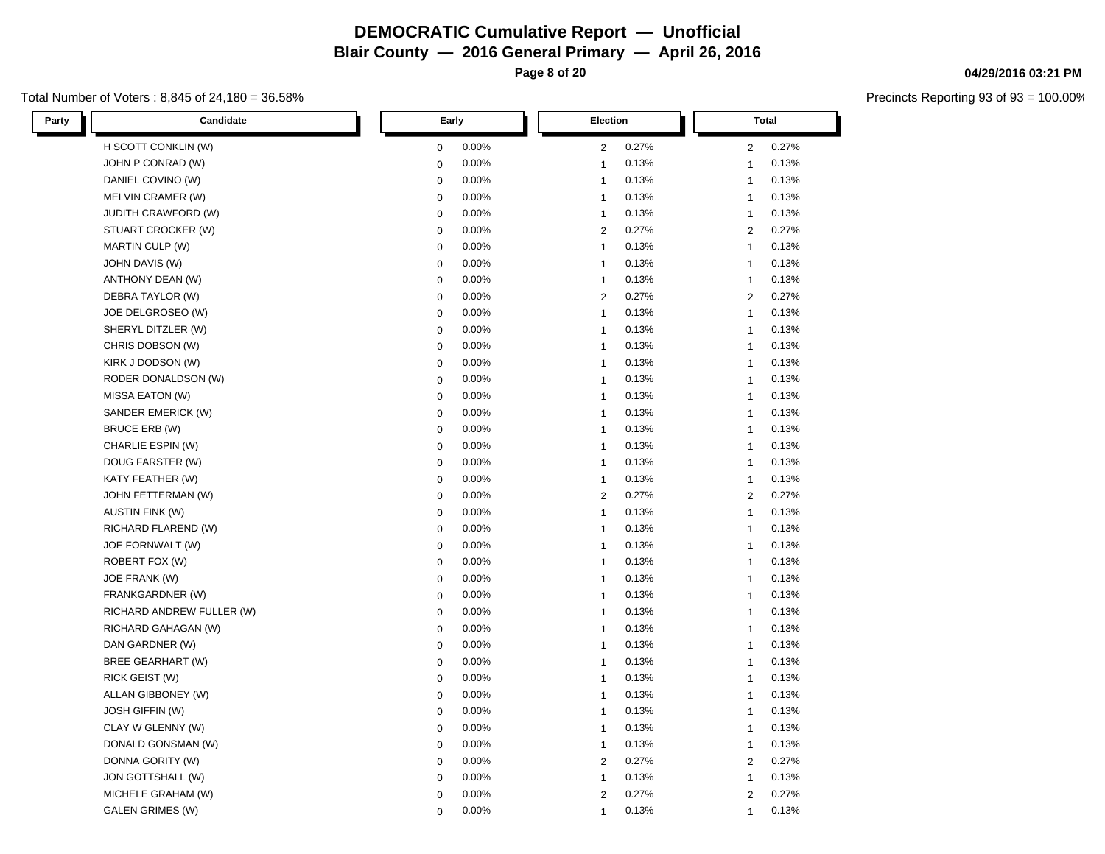**Page 8 of 20**

### Total Number of Voters : 8,845 of 24,180 = 36.58%

| Party<br>Candidate         | Early       | <b>Election</b> | Total          |
|----------------------------|-------------|-----------------|----------------|
| H SCOTT CONKLIN (W)        | 0.00%       | 0.27%           | 0.27%          |
|                            | 0           | 2               | $\overline{2}$ |
| JOHN P CONRAD (W)          | 0.00%       | 0.13%           | 0.13%          |
|                            | 0           | $\mathbf{1}$    | $\mathbf{1}$   |
| DANIEL COVINO (W)          | 0           | 0.13%           | 0.13%          |
|                            | 0.00%       | $\mathbf{1}$    | $\mathbf{1}$   |
| MELVIN CRAMER (W)          | 0.00%       | 0.13%           | 0.13%          |
|                            | 0           | $\mathbf{1}$    | $\mathbf{1}$   |
| <b>JUDITH CRAWFORD (W)</b> | 0           | 0.13%           | 0.13%          |
|                            | 0.00%       | $\mathbf{1}$    | $\mathbf{1}$   |
| STUART CROCKER (W)         | 0.00%       | 0.27%           | 0.27%          |
|                            | 0           | 2               | 2              |
| <b>MARTIN CULP (W)</b>     | 0.00%       | 0.13%           | 0.13%          |
|                            | 0           | $\mathbf{1}$    | $\mathbf{1}$   |
| JOHN DAVIS (W)             | 0.00%       | 0.13%           | 0.13%          |
|                            | 0           | $\mathbf{1}$    | $\mathbf{1}$   |
| ANTHONY DEAN (W)           | 0.00%       | 0.13%           | 0.13%          |
|                            | 0           | $\mathbf{1}$    | $\mathbf{1}$   |
| DEBRA TAYLOR (W)           | 0.00%       | 0.27%           | 0.27%          |
|                            | 0           | $\overline{2}$  | $\overline{2}$ |
| JOE DELGROSEO (W)          | 0.00%       | 0.13%           | 0.13%          |
|                            | 0           | $\mathbf{1}$    | $\mathbf{1}$   |
| SHERYL DITZLER (W)         | 0           | 0.13%           | $\mathbf{1}$   |
|                            | 0.00%       | $\mathbf{1}$    | 0.13%          |
| CHRIS DOBSON (W)           | 0           | 0.13%           | 0.13%          |
|                            | 0.00%       | $\mathbf{1}$    | $\mathbf{1}$   |
| KIRK J DODSON (W)          | 0.00%       | 0.13%           | 0.13%          |
|                            | $\mathbf 0$ | $\mathbf{1}$    | $\mathbf{1}$   |
| RODER DONALDSON (W)        | 0.00%       | 0.13%           | 0.13%          |
|                            | 0           | $\mathbf{1}$    | $\mathbf{1}$   |
| MISSA EATON (W)            | 0           | 0.13%           | 0.13%          |
|                            | 0.00%       | $\mathbf{1}$    | $\mathbf{1}$   |
| SANDER EMERICK (W)         | 0.00%       | 0.13%           | 0.13%          |
|                            | 0           | $\mathbf{1}$    | $\mathbf{1}$   |
| BRUCE ERB (W)              | 0.00%       | 0.13%           | 0.13%          |
|                            | 0           | $\mathbf{1}$    | $\mathbf{1}$   |
| CHARLIE ESPIN (W)          | 0.00%       | 0.13%           | 0.13%          |
|                            | 0           | $\mathbf{1}$    | $\mathbf{1}$   |
| DOUG FARSTER (W)           | 0           | 0.13%           | 0.13%          |
|                            | 0.00%       | $\mathbf{1}$    | $\mathbf{1}$   |
| KATY FEATHER (W)           | 0.00%       | 0.13%           | 0.13%          |
|                            | 0           | $\mathbf{1}$    | $\mathbf{1}$   |
| JOHN FETTERMAN (W)         | 0.00%       | 0.27%           | 0.27%          |
|                            | 0           | $\overline{2}$  | $\overline{2}$ |
| <b>AUSTIN FINK (W)</b>     | 0.00%       | 0.13%           | 0.13%          |
|                            | $\pmb{0}$   | $\mathbf{1}$    | $\overline{1}$ |
| RICHARD FLAREND (W)        | 0           | 0.13%           | $\mathbf{1}$   |
|                            | 0.00%       | $\mathbf{1}$    | 0.13%          |
| JOE FORNWALT (W)           | 0.00%       | 0.13%           | 0.13%          |
|                            | 0           | $\mathbf{1}$    | $\mathbf{1}$   |
| ROBERT FOX (W)             | 0.00%       | 0.13%           | 0.13%          |
|                            | 0           | $\mathbf{1}$    | $\mathbf{1}$   |
| JOE FRANK (W)              | 0.00%       | 0.13%           | 0.13%          |
|                            | 0           | $\mathbf{1}$    | $\mathbf{1}$   |
| FRANKGARDNER (W)           | 0           | $\mathbf{1}$    | $\mathbf{1}$   |
|                            | 0.00%       | 0.13%           | 0.13%          |
| RICHARD ANDREW FULLER (W)  | 0.00%       | 0.13%           | 0.13%          |
|                            | 0           | $\mathbf{1}$    | $\mathbf{1}$   |
| RICHARD GAHAGAN (W)        | 0.00%       | 0.13%           | 0.13%          |
|                            | 0           | $\mathbf{1}$    | $\mathbf{1}$   |
| DAN GARDNER (W)            | 0           | 0.13%           | 0.13%          |
|                            | 0.00%       | $\mathbf{1}$    | $\mathbf{1}$   |
| <b>BREE GEARHART (W)</b>   | 0           | 0.13%           | 0.13%          |
|                            | 0.00%       | $\mathbf{1}$    | $\mathbf{1}$   |
| RICK GEIST (W)             | 0.00%       | 0.13%           | 0.13%          |
|                            | 0           | $\mathbf{1}$    | $\mathbf{1}$   |
| ALLAN GIBBONEY (W)         | 0.00%       | 0.13%           | 0.13%          |
|                            | 0           | $\mathbf{1}$    | $\mathbf{1}$   |
| <b>JOSH GIFFIN (W)</b>     | 0.00%       | 0.13%           | 0.13%          |
|                            | 0           | $\mathbf{1}$    | $\mathbf{1}$   |
| CLAY W GLENNY (W)          | 0.00%       | 0.13%           | 0.13%          |
|                            | 0           | $\mathbf{1}$    | $\mathbf{1}$   |
| DONALD GONSMAN (W)         | 0.00%       | 0.13%           | 0.13%          |
|                            | 0           | $\mathbf{1}$    | $\mathbf{1}$   |
| DONNA GORITY (W)           | 0.00%       | 0.27%           | 0.27%          |
|                            | 0           | 2               | $\overline{2}$ |
| JON GOTTSHALL (W)          | 0           | 0.13%           | 0.13%          |
|                            | 0.00%       | $\overline{1}$  | $\mathbf{1}$   |
| MICHELE GRAHAM (W)         | 0.00%       | 0.27%           | 0.27%          |
|                            | 0           | $\overline{2}$  | $\overline{2}$ |
| <b>GALEN GRIMES (W)</b>    | 0.00%       | 0.13%           | 0.13%          |
|                            | $\Omega$    | $\mathbf 1$     | $\mathbf{1}$   |

# **04/29/2016 03:21 PM**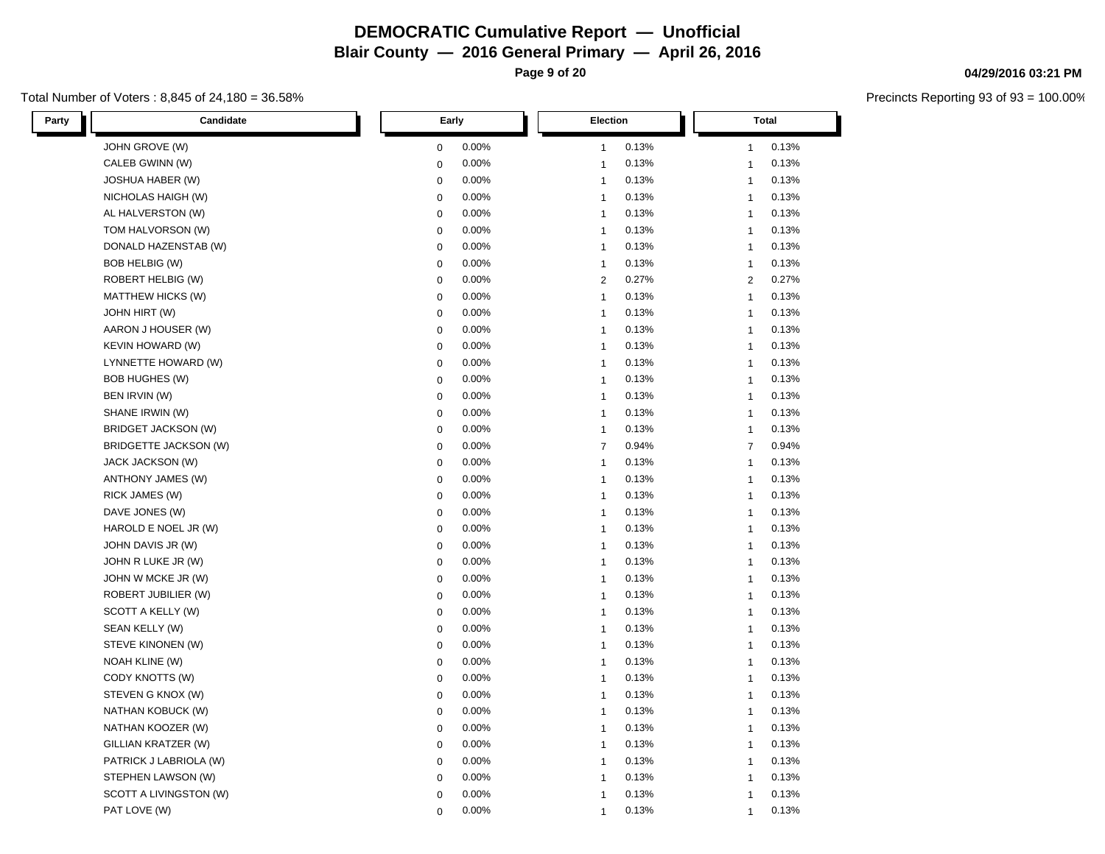**Page 9 of 20**

### Total Number of Voters : 8,845 of 24,180 = 36.58%

| Party<br>Candidate         | Early       | <b>Election</b> | <b>Total</b>   |
|----------------------------|-------------|-----------------|----------------|
| JOHN GROVE (W)             | 0.00%       | 0.13%           | 0.13%          |
|                            | 0           | 1               | $\mathbf{1}$   |
| CALEB GWINN (W)            | 0.00%       | 0.13%           | 0.13%          |
|                            | 0           | $\mathbf{1}$    | $\mathbf{1}$   |
| <b>JOSHUA HABER (W)</b>    | 0           | 0.13%           | 0.13%          |
|                            | 0.00%       | $\mathbf{1}$    | $\mathbf{1}$   |
| NICHOLAS HAIGH (W)         | 0.00%       | 0.13%           | 0.13%          |
|                            | 0           | $\mathbf{1}$    | $\mathbf{1}$   |
| AL HALVERSTON (W)          | 0           | 0.13%           | 0.13%          |
|                            | 0.00%       | $\mathbf{1}$    | $\mathbf{1}$   |
| TOM HALVORSON (W)          | 0.00%       | 0.13%           | 0.13%          |
|                            | 0           | $\mathbf{1}$    | $\mathbf{1}$   |
| DONALD HAZENSTAB (W)       | 0.00%       | 0.13%           | 0.13%          |
|                            | 0           | $\mathbf{1}$    | $\mathbf{1}$   |
| <b>BOB HELBIG (W)</b>      | 0           | 0.13%           | 0.13%          |
|                            | 0.00%       | $\mathbf{1}$    | $\mathbf{1}$   |
| ROBERT HELBIG (W)          | 0.00%       | 0.27%           | 0.27%          |
|                            | 0           | 2               | 2              |
| MATTHEW HICKS (W)          | 0.00%       | 0.13%           | 0.13%          |
|                            | 0           | $\mathbf{1}$    | $\mathbf{1}$   |
| JOHN HIRT (W)              | 0.00%       | 0.13%           | 0.13%          |
|                            | 0           | $\mathbf{1}$    | $\mathbf{1}$   |
| AARON J HOUSER (W)         | 0           | 0.13%           | 0.13%          |
|                            | 0.00%       | $\mathbf{1}$    | $\mathbf{1}$   |
| <b>KEVIN HOWARD (W)</b>    | 0           | 0.13%           | 0.13%          |
|                            | 0.00%       | $\mathbf{1}$    | $\mathbf{1}$   |
| LYNNETTE HOWARD (W)        | 0.00%       | 0.13%           | 0.13%          |
|                            | $\pmb{0}$   | $\mathbf{1}$    | $\mathbf{1}$   |
| <b>BOB HUGHES (W)</b>      | 0.00%       | 0.13%           | 0.13%          |
|                            | 0           | $\mathbf{1}$    | $\mathbf{1}$   |
| BEN IRVIN (W)              | $\mathbf 0$ | 0.13%           | 0.13%          |
|                            | 0.00%       | $\mathbf{1}$    | $\mathbf{1}$   |
| SHANE IRWIN (W)            | 0.00%       | 0.13%           | 0.13%          |
|                            | 0           | $\mathbf{1}$    | $\mathbf{1}$   |
| <b>BRIDGET JACKSON (W)</b> | 0.00%       | 0.13%           | 0.13%          |
|                            | 0           | $\mathbf 1$     | $\mathbf{1}$   |
| BRIDGETTE JACKSON (W)      | 0.00%       | 0.94%           | $\overline{7}$ |
|                            | $\mathbf 0$ | $\overline{7}$  | 0.94%          |
| <b>JACK JACKSON (W)</b>    | $\mathbf 0$ | 0.13%           | 0.13%          |
|                            | 0.00%       | $\mathbf{1}$    | $\mathbf{1}$   |
| ANTHONY JAMES (W)          | 0.00%       | 0.13%           | 0.13%          |
|                            | 0           | $\mathbf{1}$    | $\mathbf{1}$   |
| RICK JAMES (W)             | 0.00%       | 0.13%           | 0.13%          |
|                            | 0           | $\mathbf{1}$    | $\mathbf{1}$   |
| DAVE JONES (W)             | 0.00%       | 0.13%           | 0.13%          |
|                            | 0           | $\mathbf 1$     | $\mathbf{1}$   |
| HAROLD E NOEL JR (W)       | $\mathbf 0$ | 0.13%           | 0.13%          |
|                            | 0.00%       | $\mathbf{1}$    | $\mathbf{1}$   |
| JOHN DAVIS JR (W)          | 0.00%       | 0.13%           | 0.13%          |
|                            | 0           | $\mathbf{1}$    | $\mathbf{1}$   |
| JOHN R LUKE JR (W)         | 0.00%       | 0.13%           | 0.13%          |
|                            | 0           | $\mathbf{1}$    | $\mathbf{1}$   |
| JOHN W MCKE JR (W)         | 0.00%       | 0.13%           | 0.13%          |
|                            | 0           | $\mathbf{1}$    | $\mathbf{1}$   |
| ROBERT JUBILIER (W)        | $\pmb{0}$   | 0.13%           | 0.13%          |
|                            | 0.00%       | 1               | $\mathbf{1}$   |
| SCOTT A KELLY (W)          | 0.00%       | 0.13%           | 0.13%          |
|                            | 0           | $\mathbf{1}$    | $\mathbf{1}$   |
| SEAN KELLY (W)             | 0.00%       | 0.13%           | 0.13%          |
|                            | 0           | $\mathbf{1}$    | $\mathbf{1}$   |
| STEVE KINONEN (W)          | 0           | 0.13%           | 0.13%          |
|                            | 0.00%       | $\mathbf{1}$    | $\mathbf{1}$   |
| <b>NOAH KLINE (W)</b>      | 0           | 0.13%           | 0.13%          |
|                            | 0.00%       | $\mathbf{1}$    | $\mathbf{1}$   |
| CODY KNOTTS (W)            | 0.00%       | 0.13%           | 0.13%          |
|                            | 0           | $\mathbf{1}$    | $\mathbf{1}$   |
| STEVEN G KNOX (W)          | 0.00%       | 0.13%           | 0.13%          |
|                            | 0           | $\mathbf{1}$    | $\mathbf{1}$   |
| NATHAN KOBUCK (W)          | 0           | 0.13%           | 0.13%          |
|                            | 0.00%       | $\mathbf{1}$    | $\mathbf{1}$   |
| NATHAN KOOZER (W)          | 0           | 0.13%           | 0.13%          |
|                            | 0.00%       | $\mathbf{1}$    | $\mathbf{1}$   |
| GILLIAN KRATZER (W)        | 0.00%       | 0.13%           | 0.13%          |
|                            | 0           | $\mathbf{1}$    | $\mathbf{1}$   |
| PATRICK J LABRIOLA (W)     | 0.00%       | 0.13%           | 0.13%          |
|                            | 0           | $\mathbf{1}$    | $\mathbf{1}$   |
| STEPHEN LAWSON (W)         | 0           | 0.13%           | 0.13%          |
|                            | 0.00%       | $\mathbf{1}$    | $\mathbf{1}$   |
| SCOTT A LIVINGSTON (W)     | 0.00%       | 0.13%           | 0.13%          |
|                            | $\mathbf 0$ | $\overline{1}$  | $\mathbf{1}$   |
| PAT LOVE (W)               | 0.00%       | 0.13%           | 0.13%          |
|                            | $\Omega$    | $\mathbf{1}$    | $\mathbf{1}$   |

# **04/29/2016 03:21 PM**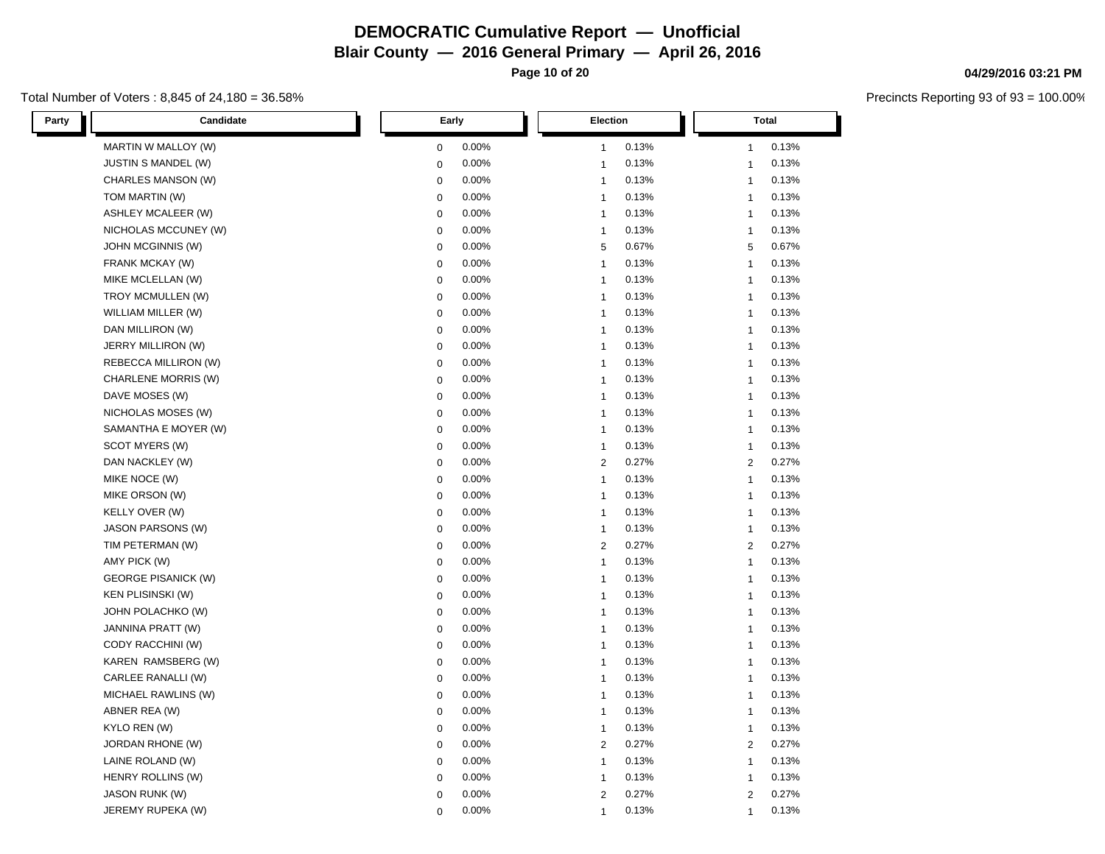**Page 10 of 20**

### Total Number of Voters : 8,845 of 24,180 = 36.58%

| Party | Candidate                  | Early       |       | <b>Election</b> |       | <b>Total</b>   |       |
|-------|----------------------------|-------------|-------|-----------------|-------|----------------|-------|
|       | MARTIN W MALLOY (W)        | 0           | 0.00% | 1               | 0.13% | $\mathbf{1}$   | 0.13% |
|       | <b>JUSTIN S MANDEL (W)</b> | $\pmb{0}$   | 0.00% | $\mathbf 1$     | 0.13% | $\mathbf{1}$   | 0.13% |
|       | CHARLES MANSON (W)         | $\mathbf 0$ | 0.00% | 1               | 0.13% | $\mathbf{1}$   | 0.13% |
|       | TOM MARTIN (W)             | 0           | 0.00% | $\mathbf{1}$    | 0.13% | $\mathbf{1}$   | 0.13% |
|       | ASHLEY MCALEER (W)         | 0           | 0.00% | 1               | 0.13% | $\mathbf{1}$   | 0.13% |
|       | NICHOLAS MCCUNEY (W)       | $\pmb{0}$   | 0.00% | $\mathbf{1}$    | 0.13% | $\mathbf{1}$   | 0.13% |
|       | JOHN MCGINNIS (W)          | 0           | 0.00% | 5               | 0.67% | 5              | 0.67% |
|       | FRANK MCKAY (W)            | $\pmb{0}$   | 0.00% | $\mathbf{1}$    | 0.13% | $\mathbf{1}$   | 0.13% |
|       | MIKE MCLELLAN (W)          | 0           | 0.00% | $\mathbf{1}$    | 0.13% | $\mathbf{1}$   | 0.13% |
|       | TROY MCMULLEN (W)          | 0           | 0.00% | 1               | 0.13% | $\mathbf{1}$   | 0.13% |
|       | WILLIAM MILLER (W)         | $\pmb{0}$   | 0.00% | $\mathbf{1}$    | 0.13% | $\mathbf{1}$   | 0.13% |
|       | DAN MILLIRON (W)           | 0           | 0.00% | $\mathbf{1}$    | 0.13% | $\mathbf{1}$   | 0.13% |
|       | JERRY MILLIRON (W)         | 0           | 0.00% | 1               | 0.13% | $\mathbf{1}$   | 0.13% |
|       | REBECCA MILLIRON (W)       | 0           | 0.00% | 1               | 0.13% | $\mathbf{1}$   | 0.13% |
|       | CHARLENE MORRIS (W)        | $\pmb{0}$   | 0.00% | $\mathbf{1}$    | 0.13% | $\mathbf{1}$   | 0.13% |
|       | DAVE MOSES (W)             | 0           | 0.00% | 1               | 0.13% | $\mathbf{1}$   | 0.13% |
|       | NICHOLAS MOSES (W)         | $\pmb{0}$   | 0.00% | 1               | 0.13% | $\mathbf{1}$   | 0.13% |
|       | SAMANTHA E MOYER (W)       | $\pmb{0}$   | 0.00% | 1               | 0.13% | $\mathbf{1}$   | 0.13% |
|       | SCOT MYERS (W)             | $\pmb{0}$   | 0.00% | 1               | 0.13% | $\mathbf{1}$   | 0.13% |
|       | DAN NACKLEY (W)            | $\pmb{0}$   | 0.00% | $\overline{2}$  | 0.27% | $\overline{2}$ | 0.27% |
|       | MIKE NOCE (W)              | 0           | 0.00% | 1               | 0.13% | $\mathbf{1}$   | 0.13% |
|       | MIKE ORSON (W)             | $\pmb{0}$   | 0.00% | $\mathbf 1$     | 0.13% | $\mathbf{1}$   | 0.13% |
|       | <b>KELLY OVER (W)</b>      | 0           | 0.00% | 1               | 0.13% | $\mathbf{1}$   | 0.13% |
|       | <b>JASON PARSONS (W)</b>   | $\pmb{0}$   | 0.00% | 1               | 0.13% | $\mathbf{1}$   | 0.13% |
|       | TIM PETERMAN (W)           | 0           | 0.00% | 2               | 0.27% | 2              | 0.27% |
|       | AMY PICK (W)               | $\pmb{0}$   | 0.00% | $\mathbf{1}$    | 0.13% | $\mathbf 1$    | 0.13% |
|       | <b>GEORGE PISANICK (W)</b> | 0           | 0.00% | 1               | 0.13% | $\mathbf{1}$   | 0.13% |
|       | <b>KEN PLISINSKI (W)</b>   | $\pmb{0}$   | 0.00% | $\mathbf{1}$    | 0.13% | $\mathbf{1}$   | 0.13% |
|       | JOHN POLACHKO (W)          | 0           | 0.00% | 1               | 0.13% | $\mathbf{1}$   | 0.13% |
|       | JANNINA PRATT (W)          | $\pmb{0}$   | 0.00% | 1               | 0.13% | $\mathbf{1}$   | 0.13% |
|       | CODY RACCHINI (W)          | 0           | 0.00% | $\mathbf{1}$    | 0.13% | $\mathbf{1}$   | 0.13% |
|       | KAREN RAMSBERG (W)         | 0           | 0.00% | $\mathbf{1}$    | 0.13% | $\mathbf{1}$   | 0.13% |
|       | CARLEE RANALLI (W)         | $\pmb{0}$   | 0.00% | $\mathbf{1}$    | 0.13% | $\mathbf{1}$   | 0.13% |
|       | MICHAEL RAWLINS (W)        | 0           | 0.00% | 1               | 0.13% | $\mathbf{1}$   | 0.13% |
|       | ABNER REA (W)              | $\pmb{0}$   | 0.00% | $\mathbf{1}$    | 0.13% | $\mathbf{1}$   | 0.13% |
|       | KYLO REN (W)               | 0           | 0.00% | 1               | 0.13% | $\mathbf{1}$   | 0.13% |
|       | JORDAN RHONE (W)           | $\pmb{0}$   | 0.00% | $\overline{2}$  | 0.27% | $\overline{2}$ | 0.27% |
|       | LAINE ROLAND (W)           | 0           | 0.00% | 1               | 0.13% | $\mathbf{1}$   | 0.13% |
|       | HENRY ROLLINS (W)          | $\pmb{0}$   | 0.00% | 1               | 0.13% | -1             | 0.13% |
|       | <b>JASON RUNK (W)</b>      | $\pmb{0}$   | 0.00% | $\overline{2}$  | 0.27% | $\overline{2}$ | 0.27% |
|       | JEREMY RUPEKA (W)          | $\Omega$    | 0.00% | 1               | 0.13% | $\mathbf{1}$   | 0.13% |

# **04/29/2016 03:21 PM**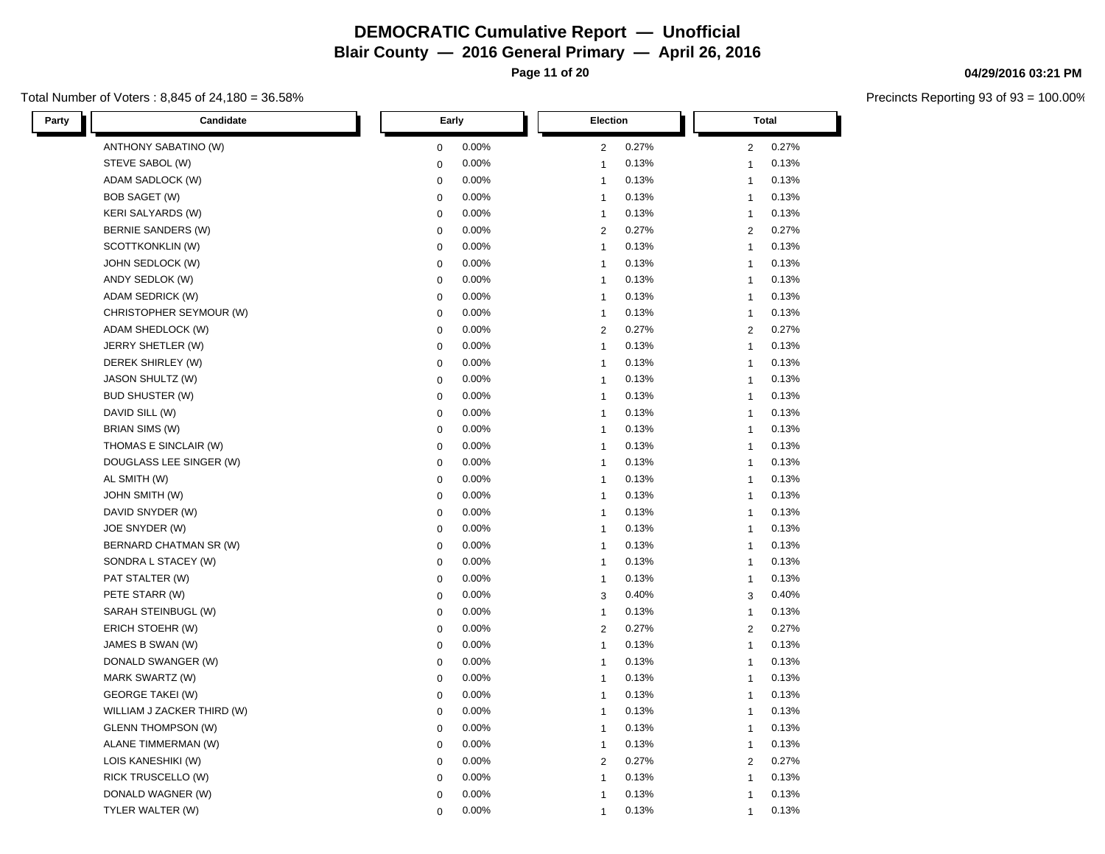**Page 11 of 20**

### Total Number of Voters : 8,845 of 24,180 = 36.58%

| Party<br>Candidate         | Early       | Election       | <b>Total</b>   |
|----------------------------|-------------|----------------|----------------|
| ANTHONY SABATINO (W)       | 0.00%       | 0.27%          | 0.27%          |
|                            | 0           | $\overline{c}$ | $\overline{2}$ |
| STEVE SABOL (W)            | 0.00%       | 0.13%          | 0.13%          |
|                            | $\pmb{0}$   | $\mathbf{1}$   | $\mathbf{1}$   |
| ADAM SADLOCK (W)           | 0.00%       | 0.13%          | 0.13%          |
|                            | $\mathbf 0$ | $\mathbf{1}$   | $\mathbf{1}$   |
| <b>BOB SAGET (W)</b>       | 0.00%       | 0.13%          | 0.13%          |
|                            | 0           | $\mathbf{1}$   | $\mathbf{1}$   |
| <b>KERI SALYARDS (W)</b>   | 0.00%       | 0.13%          | 0.13%          |
|                            | 0           | 1              | $\mathbf{1}$   |
| BERNIE SANDERS (W)         | 0           | 0.27%          | 0.27%          |
|                            | 0.00%       | 2              | 2              |
| SCOTTKONKLIN (W)           | 0           | 0.13%          | 0.13%          |
|                            | 0.00%       | $\mathbf{1}$   | $\mathbf{1}$   |
| JOHN SEDLOCK (W)           | 0           | 0.13%          | 0.13%          |
|                            | 0.00%       | $\mathbf{1}$   | $\mathbf{1}$   |
| ANDY SEDLOK (W)            | 0           | 0.13%          | 0.13%          |
|                            | 0.00%       | $\mathbf{1}$   | $\mathbf{1}$   |
| ADAM SEDRICK (W)           | 0           | 0.13%          | 0.13%          |
|                            | 0.00%       | $\mathbf{1}$   | $\mathbf{1}$   |
| CHRISTOPHER SEYMOUR (W)    | 0.00%       | 0.13%          | 0.13%          |
|                            | 0           | $\mathbf{1}$   | $\mathbf{1}$   |
| ADAM SHEDLOCK (W)          | 0.00%       | 0.27%          | 0.27%          |
|                            | 0           | 2              | 2              |
| JERRY SHETLER (W)          | 0.00%       | 0.13%          | 0.13%          |
|                            | 0           | $\mathbf{1}$   | $\mathbf{1}$   |
| DEREK SHIRLEY (W)          | 0.00%       | 0.13%          | 0.13%          |
|                            | 0           | $\mathbf{1}$   | $\mathbf{1}$   |
| <b>JASON SHULTZ (W)</b>    | 0.00%       | 0.13%          | 0.13%          |
|                            | 0           | $\mathbf{1}$   | $\mathbf{1}$   |
| <b>BUD SHUSTER (W)</b>     | 0           | 0.13%          | 0.13%          |
|                            | 0.00%       | $\mathbf{1}$   | $\mathbf{1}$   |
| DAVID SILL (W)             | 0           | 0.13%          | 0.13%          |
|                            | 0.00%       | 1              | $\mathbf{1}$   |
| <b>BRIAN SIMS (W)</b>      | $\pmb{0}$   | 0.13%          | 0.13%          |
|                            | 0.00%       | 1              | $\mathbf{1}$   |
| THOMAS E SINCLAIR (W)      | 0.00%       | 0.13%          | 0.13%          |
|                            | $\pmb{0}$   | $\mathbf{1}$   | $\mathbf{1}$   |
| DOUGLASS LEE SINGER (W)    | 0.00%       | 0.13%          | 0.13%          |
|                            | $\mathbf 0$ | $\mathbf{1}$   | $\mathbf{1}$   |
| AL SMITH (W)               | 0.00%       | 0.13%          | 0.13%          |
|                            | 0           | $\mathbf{1}$   | $\mathbf{1}$   |
| <b>JOHN SMITH (W)</b>      | 0.00%       | 0.13%          | 0.13%          |
|                            | 0           | $\mathbf{1}$   | $\mathbf{1}$   |
| DAVID SNYDER (W)           | 0.00%       | 0.13%          | 0.13%          |
|                            | 0           | $\mathbf{1}$   | $\mathbf{1}$   |
| JOE SNYDER (W)             | $\pmb{0}$   | 0.13%          | 0.13%          |
|                            | 0.00%       | 1              | $\mathbf{1}$   |
| BERNARD CHATMAN SR (W)     | 0.00%       | 0.13%          | 0.13%          |
|                            | 0           | $\mathbf{1}$   | $\mathbf{1}$   |
| SONDRA L STACEY (W)        | 0.00%       | 0.13%          | 0.13%          |
|                            | 0           | 1              | $\mathbf{1}$   |
| PAT STALTER (W)            | 0           | 0.13%          | 0.13%          |
|                            | 0.00%       | $\mathbf{1}$   | $\mathbf{1}$   |
| PETE STARR (W)             | $\mathbf 0$ | 0.40%          | 3              |
|                            | 0.00%       | 3              | 0.40%          |
| SARAH STEINBUGL (W)        | 0.00%       | 0.13%          | 0.13%          |
|                            | 0           | $\mathbf{1}$   | $\mathbf{1}$   |
| ERICH STOEHR (W)           | 0.00%       | 0.27%          | 0.27%          |
|                            | 0           | $\mathbf{2}$   | 2              |
| JAMES B SWAN (W)           | 0           | 0.13%          | 0.13%          |
|                            | 0.00%       | $\mathbf{1}$   | $\mathbf{1}$   |
| DONALD SWANGER (W)         | 0           | 0.13%          | 0.13%          |
|                            | 0.00%       | $\mathbf{1}$   | $\mathbf{1}$   |
| MARK SWARTZ (W)            | 0.00%       | 0.13%          | 0.13%          |
|                            | 0           | $\mathbf{1}$   | $\mathbf{1}$   |
| <b>GEORGE TAKEI (W)</b>    | 0.00%       | 0.13%          | 0.13%          |
|                            | 0           | $\mathbf{1}$   | $\mathbf{1}$   |
| WILLIAM J ZACKER THIRD (W) | 0           | 0.13%          | 0.13%          |
|                            | 0.00%       | $\mathbf{1}$   | $\mathbf{1}$   |
| <b>GLENN THOMPSON (W)</b>  | 0.00%       | 0.13%          | 0.13%          |
|                            | 0           | $\mathbf{1}$   | $\mathbf{1}$   |
| ALANE TIMMERMAN (W)        | 0.00%       | 0.13%          | 0.13%          |
|                            | 0           | $\mathbf{1}$   | $\mathbf{1}$   |
| LOIS KANESHIKI (W)         | 0.00%       | 0.27%          | 0.27%          |
|                            | 0           | 2              | 2              |
| RICK TRUSCELLO (W)         | 0           | 0.13%          | 0.13%          |
|                            | 0.00%       | $\mathbf{1}$   | $\mathbf{1}$   |
| DONALD WAGNER (W)          | 0.00%       | 0.13%          | 0.13%          |
|                            | $\mathbf 0$ | $\overline{1}$ | $\mathbf{1}$   |
| TYLER WALTER (W)           | 0.00%       | 0.13%          | 0.13%          |
|                            | $\Omega$    | $\mathbf 1$    | $\mathbf{1}$   |

# **04/29/2016 03:21 PM**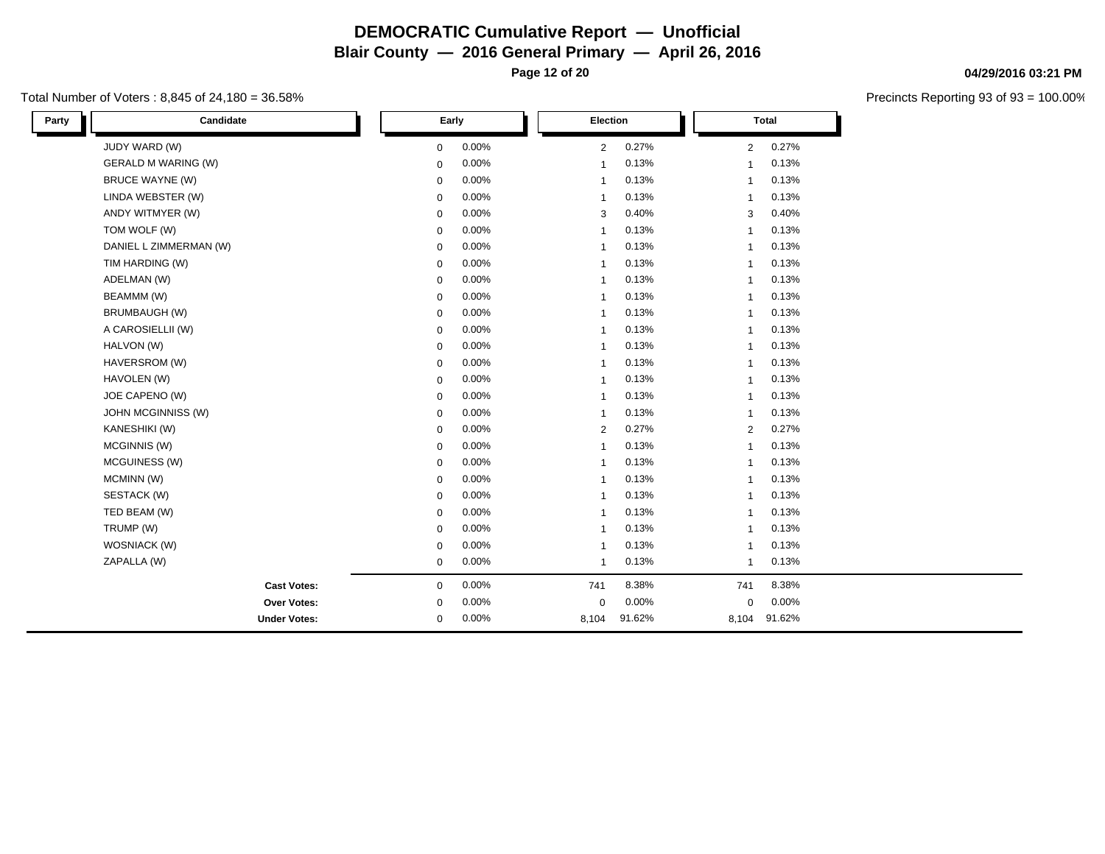**Page 12 of 20**

## Total Number of Voters : 8,845 of 24,180 = 36.58%

| Party | Candidate                  | Early       |       | Election       |        |              | <b>Total</b> |  |
|-------|----------------------------|-------------|-------|----------------|--------|--------------|--------------|--|
|       | JUDY WARD (W)              | $\mathbf 0$ | 0.00% | 2              | 0.27%  | 2            | 0.27%        |  |
|       | <b>GERALD M WARING (W)</b> | $\mathbf 0$ | 0.00% | $\mathbf 1$    | 0.13%  | 1            | 0.13%        |  |
|       | <b>BRUCE WAYNE (W)</b>     | $\mathbf 0$ | 0.00% | $\mathbf{1}$   | 0.13%  | $\mathbf{1}$ | 0.13%        |  |
|       | LINDA WEBSTER (W)          | $\mathbf 0$ | 0.00% | $\mathbf{1}$   | 0.13%  | $\mathbf{1}$ | 0.13%        |  |
|       | ANDY WITMYER (W)           | $\mathbf 0$ | 0.00% | 3              | 0.40%  | 3            | 0.40%        |  |
|       | TOM WOLF (W)               | $\mathbf 0$ | 0.00% | $\mathbf{1}$   | 0.13%  | $\mathbf{1}$ | 0.13%        |  |
|       | DANIEL L ZIMMERMAN (W)     | $\mathbf 0$ | 0.00% | $\mathbf{1}$   | 0.13%  | $\mathbf{1}$ | 0.13%        |  |
|       | TIM HARDING (W)            | $\mathbf 0$ | 0.00% | $\mathbf{1}$   | 0.13%  | 1            | 0.13%        |  |
|       | ADELMAN (W)                | $\mathbf 0$ | 0.00% | $\mathbf{1}$   | 0.13%  | $\mathbf{1}$ | 0.13%        |  |
|       | BEAMMM (W)                 | $\mathbf 0$ | 0.00% | $\mathbf{1}$   | 0.13%  | $\mathbf{1}$ | 0.13%        |  |
|       | <b>BRUMBAUGH (W)</b>       | $\mathbf 0$ | 0.00% | $\mathbf{1}$   | 0.13%  | $\mathbf{1}$ | 0.13%        |  |
|       | A CAROSIELLII (W)          | $\mathbf 0$ | 0.00% | $\mathbf{1}$   | 0.13%  | 1            | 0.13%        |  |
|       | HALVON (W)                 | $\mathbf 0$ | 0.00% | $\mathbf{1}$   | 0.13%  | $\mathbf{1}$ | 0.13%        |  |
|       | HAVERSROM (W)              | $\mathbf 0$ | 0.00% | $\mathbf{1}$   | 0.13%  | 1            | 0.13%        |  |
|       | HAVOLEN (W)                | 0           | 0.00% | $\mathbf{1}$   | 0.13%  | $\mathbf{1}$ | 0.13%        |  |
|       | JOE CAPENO (W)             | 0           | 0.00% | $\mathbf{1}$   | 0.13%  | $\mathbf{1}$ | 0.13%        |  |
|       | <b>JOHN MCGINNISS (W)</b>  | $\mathbf 0$ | 0.00% | $\mathbf{1}$   | 0.13%  | $\mathbf{1}$ | 0.13%        |  |
|       | KANESHIKI (W)              | $\mathbf 0$ | 0.00% | 2              | 0.27%  | 2            | 0.27%        |  |
|       | MCGINNIS (W)               | $\mathbf 0$ | 0.00% | $\overline{1}$ | 0.13%  | $\mathbf{1}$ | 0.13%        |  |
|       | MCGUINESS (W)              | $\mathbf 0$ | 0.00% | $\mathbf{1}$   | 0.13%  | $\mathbf{1}$ | 0.13%        |  |
|       | MCMINN (W)                 | 0           | 0.00% | $\mathbf{1}$   | 0.13%  | $\mathbf{1}$ | 0.13%        |  |
|       | SESTACK (W)                | $\mathbf 0$ | 0.00% | $\mathbf{1}$   | 0.13%  | $\mathbf{1}$ | 0.13%        |  |
|       | TED BEAM (W)               | $\mathbf 0$ | 0.00% | $\mathbf{1}$   | 0.13%  | $\mathbf{1}$ | 0.13%        |  |
|       | TRUMP (W)                  | $\mathbf 0$ | 0.00% | $\mathbf{1}$   | 0.13%  | $\mathbf{1}$ | 0.13%        |  |
|       | WOSNIACK (W)               | 0           | 0.00% | $\mathbf{1}$   | 0.13%  | $\mathbf{1}$ | 0.13%        |  |
|       | ZAPALLA (W)                | $\mathbf 0$ | 0.00% | $\mathbf{1}$   | 0.13%  | $\mathbf{1}$ | 0.13%        |  |
|       | <b>Cast Votes:</b>         | 0           | 0.00% | 741            | 8.38%  | 741          | 8.38%        |  |
|       | Over Votes:                | 0           | 0.00% | $\mathbf 0$    | 0.00%  | $\mathbf 0$  | 0.00%        |  |
|       | <b>Under Votes:</b>        | 0           | 0.00% | 8,104          | 91.62% | 8,104        | 91.62%       |  |

# **04/29/2016 03:21 PM**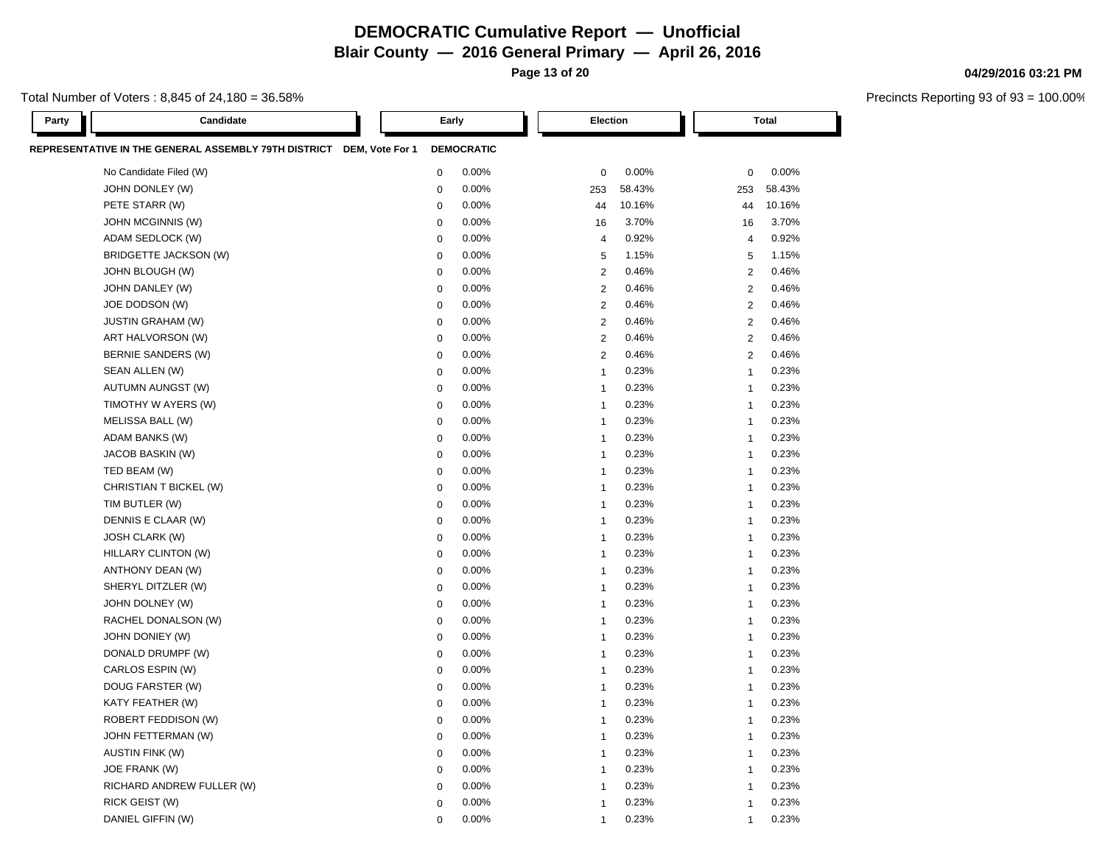**Blair County — 2016 General Primary — April 26, 2016**

**Page 13 of 20**

## Total Number of Voters : 8,845 of 24,180 = 36.58%

| Party | Candidate                                                            | Early       |                   | Election       |        |     | Total                   |  |
|-------|----------------------------------------------------------------------|-------------|-------------------|----------------|--------|-----|-------------------------|--|
|       | REPRESENTATIVE IN THE GENERAL ASSEMBLY 79TH DISTRICT DEM, Vote For 1 |             | <b>DEMOCRATIC</b> |                |        |     |                         |  |
|       | No Candidate Filed (W)                                               | $\mathbf 0$ | 0.00%             | $\mathbf 0$    | 0.00%  |     | 0.00%<br>0              |  |
|       | JOHN DONLEY (W)                                                      | $\mathbf 0$ | 0.00%             | 253            | 58.43% | 253 | 58.43%                  |  |
|       | PETE STARR (W)                                                       | $\mathbf 0$ | 0.00%             | 44             | 10.16% |     | 10.16%<br>44            |  |
|       | <b>JOHN MCGINNIS (W)</b>                                             | $\mathbf 0$ | 0.00%             | 16             | 3.70%  |     | 3.70%<br>16             |  |
|       | ADAM SEDLOCK (W)                                                     | $\mathbf 0$ | 0.00%             | $\overline{4}$ | 0.92%  |     | 0.92%<br>$\overline{4}$ |  |
|       | <b>BRIDGETTE JACKSON (W)</b>                                         | $\mathbf 0$ | 0.00%             | 5              | 1.15%  |     | 1.15%<br>5              |  |
|       | JOHN BLOUGH (W)                                                      | $\mathbf 0$ | 0.00%             | $\overline{2}$ | 0.46%  |     | 0.46%<br>2              |  |
|       | JOHN DANLEY (W)                                                      | $\mathbf 0$ | 0.00%             | $\overline{2}$ | 0.46%  |     | $\overline{2}$<br>0.46% |  |
|       | JOE DODSON (W)                                                       | $\mathbf 0$ | 0.00%             | $\overline{2}$ | 0.46%  |     | 2<br>0.46%              |  |
|       | <b>JUSTIN GRAHAM (W)</b>                                             | $\mathbf 0$ | 0.00%             | 2              | 0.46%  |     | 0.46%<br>2              |  |
|       | ART HALVORSON (W)                                                    | $\mathbf 0$ | 0.00%             | $\overline{2}$ | 0.46%  |     | $\overline{2}$<br>0.46% |  |
|       | BERNIE SANDERS (W)                                                   | $\mathbf 0$ | 0.00%             | $\overline{2}$ | 0.46%  |     | $\mathbf{2}$<br>0.46%   |  |
|       | SEAN ALLEN (W)                                                       | $\mathbf 0$ | 0.00%             | $\overline{1}$ | 0.23%  |     | 0.23%<br>$\overline{1}$ |  |
|       | <b>AUTUMN AUNGST (W)</b>                                             | $\mathbf 0$ | 0.00%             | $\overline{1}$ | 0.23%  |     | 0.23%<br>$\mathbf{1}$   |  |
|       | TIMOTHY W AYERS (W)                                                  | $\mathbf 0$ | 0.00%             | $\overline{1}$ | 0.23%  |     | 0.23%<br>$\mathbf{1}$   |  |
|       | MELISSA BALL (W)                                                     | $\mathbf 0$ | 0.00%             | $\overline{1}$ | 0.23%  |     | 0.23%<br>$\overline{1}$ |  |
|       | ADAM BANKS (W)                                                       | $\mathbf 0$ | 0.00%             | $\overline{1}$ | 0.23%  |     | 0.23%<br>$\overline{1}$ |  |
|       | JACOB BASKIN (W)                                                     | $\mathbf 0$ | 0.00%             | $\overline{1}$ | 0.23%  |     | 0.23%<br>$\overline{1}$ |  |
|       | TED BEAM (W)                                                         | $\mathbf 0$ | 0.00%             | $\overline{1}$ | 0.23%  |     | 0.23%<br>$\mathbf 1$    |  |
|       | CHRISTIAN T BICKEL (W)                                               | $\mathbf 0$ | 0.00%             | $\overline{1}$ | 0.23%  |     | 0.23%<br>$\overline{1}$ |  |
|       | TIM BUTLER (W)                                                       | $\mathbf 0$ | 0.00%             | $\overline{1}$ | 0.23%  |     | 0.23%<br>$\mathbf{1}$   |  |
|       | DENNIS E CLAAR (W)                                                   | $\mathbf 0$ | 0.00%             | $\overline{1}$ | 0.23%  |     | 0.23%<br>$\mathbf{1}$   |  |
|       | <b>JOSH CLARK (W)</b>                                                | $\mathbf 0$ | 0.00%             | $\overline{1}$ | 0.23%  |     | 0.23%<br>$\mathbf{1}$   |  |
|       | HILLARY CLINTON (W)                                                  | $\mathbf 0$ | 0.00%             | $\overline{1}$ | 0.23%  |     | 0.23%<br>$\overline{1}$ |  |
|       | ANTHONY DEAN (W)                                                     | $\mathbf 0$ | 0.00%             | $\overline{1}$ | 0.23%  |     | 0.23%<br>$\mathbf{1}$   |  |
|       | SHERYL DITZLER (W)                                                   | $\mathbf 0$ | 0.00%             | $\overline{1}$ | 0.23%  |     | 0.23%<br>$\overline{1}$ |  |
|       | JOHN DOLNEY (W)                                                      | $\mathbf 0$ | 0.00%             | $\overline{1}$ | 0.23%  |     | 0.23%<br>$\mathbf 1$    |  |
|       | RACHEL DONALSON (W)                                                  | $\mathbf 0$ | 0.00%             | $\overline{1}$ | 0.23%  |     | 0.23%<br>$\mathbf{1}$   |  |
|       | JOHN DONIEY (W)                                                      | $\mathbf 0$ | 0.00%             | $\overline{1}$ | 0.23%  |     | 0.23%<br>$\overline{1}$ |  |
|       | DONALD DRUMPF (W)                                                    | $\mathbf 0$ | 0.00%             | $\overline{1}$ | 0.23%  |     | 0.23%<br>$\overline{1}$ |  |
|       | CARLOS ESPIN (W)                                                     | $\mathbf 0$ | 0.00%             | $\overline{1}$ | 0.23%  |     | 0.23%<br>$\mathbf 1$    |  |
|       | DOUG FARSTER (W)                                                     | $\mathbf 0$ | 0.00%             | $\overline{1}$ | 0.23%  |     | 0.23%<br>$\overline{1}$ |  |
|       | KATY FEATHER (W)                                                     | $\mathbf 0$ | 0.00%             | $\overline{1}$ | 0.23%  |     | 0.23%<br>$\overline{1}$ |  |
|       | ROBERT FEDDISON (W)                                                  | $\mathbf 0$ | 0.00%             | $\overline{1}$ | 0.23%  |     | 0.23%<br>$\mathbf 1$    |  |
|       | JOHN FETTERMAN (W)                                                   | $\mathbf 0$ | 0.00%             | $\overline{1}$ | 0.23%  |     | 0.23%<br>$\overline{1}$ |  |
|       | <b>AUSTIN FINK (W)</b>                                               | $\mathbf 0$ | 0.00%             | $\overline{1}$ | 0.23%  |     | 0.23%<br>$\mathbf{1}$   |  |
|       | JOE FRANK (W)                                                        | $\mathbf 0$ | 0.00%             | $\overline{1}$ | 0.23%  |     | 0.23%<br>$\mathbf{1}$   |  |
|       | RICHARD ANDREW FULLER (W)                                            | $\mathbf 0$ | 0.00%             | $\overline{1}$ | 0.23%  |     | 0.23%<br>$\mathbf 1$    |  |
|       | RICK GEIST (W)                                                       | $\mathbf 0$ | 0.00%             | $\overline{1}$ | 0.23%  |     | 0.23%<br>$\mathbf{1}$   |  |
|       | DANIEL GIFFIN (W)                                                    | $\mathbf 0$ | 0.00%             | $\overline{1}$ | 0.23%  |     | 0.23%<br>$\overline{1}$ |  |

### **04/29/2016 03:21 PM**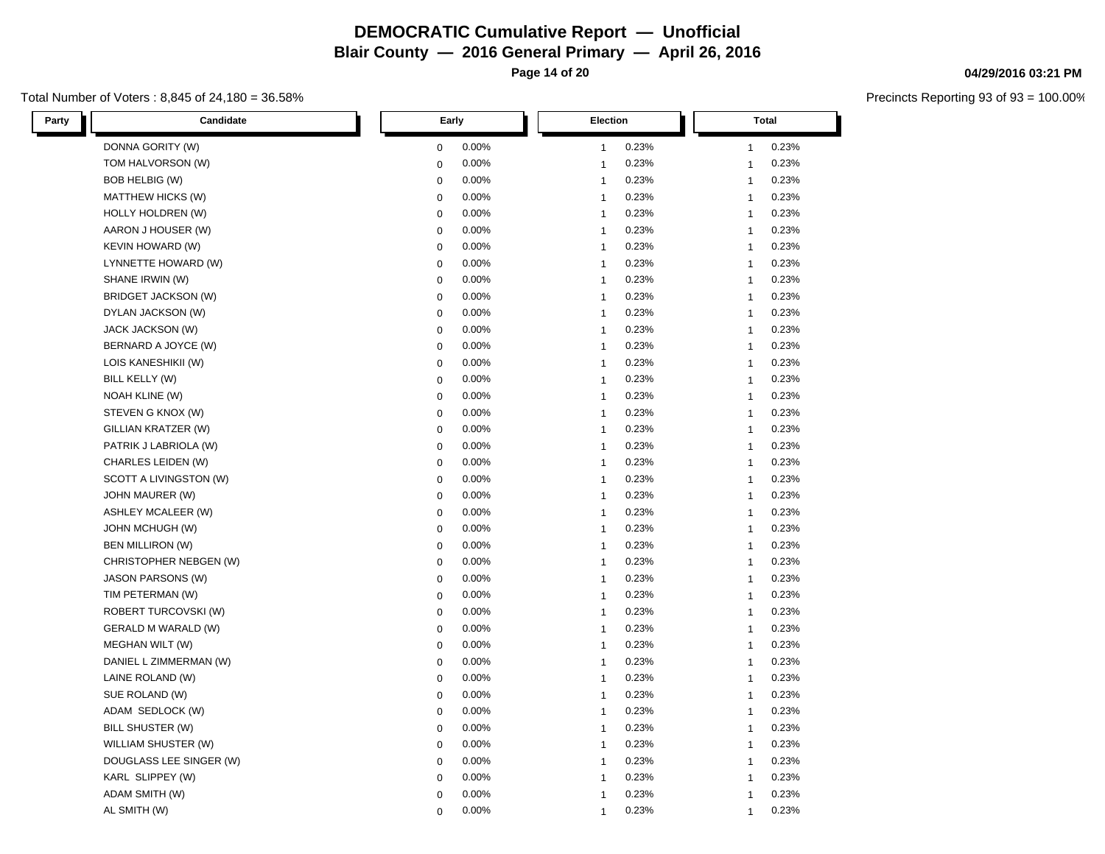**Page 14 of 20**

## Total Number of Voters : 8,845 of 24,180 = 36.58%

| Party<br>Candidate         | Early       | Election       | <b>Total</b>   |  |
|----------------------------|-------------|----------------|----------------|--|
| DONNA GORITY (W)           | 0.00%       | 0.23%          | 0.23%          |  |
|                            | 0           | $\mathbf{1}$   | $\mathbf{1}$   |  |
| TOM HALVORSON (W)          | 0.00%       | 0.23%          | 0.23%          |  |
|                            | 0           | $\mathbf{1}$   | $\mathbf{1}$   |  |
| BOB HELBIG (W)             | 0.00%       | 0.23%          | 0.23%          |  |
|                            | 0           | $\mathbf{1}$   | $\mathbf{1}$   |  |
| MATTHEW HICKS (W)          | 0.00%       | 0.23%          | 0.23%          |  |
|                            | 0           | $\mathbf{1}$   | $\mathbf{1}$   |  |
| <b>HOLLY HOLDREN (W)</b>   | 0.00%       | 0.23%          | 0.23%          |  |
|                            | 0           | $\mathbf{1}$   | $\mathbf{1}$   |  |
| AARON J HOUSER (W)         | 0           | 0.23%          | 0.23%          |  |
|                            | 0.00%       | $\mathbf{1}$   | $\mathbf{1}$   |  |
| <b>KEVIN HOWARD (W)</b>    | 0.00%       | 0.23%          | 0.23%          |  |
|                            | 0           | $\mathbf{1}$   | $\mathbf{1}$   |  |
| LYNNETTE HOWARD (W)        | 0.00%       | $\mathbf{1}$   | 0.23%          |  |
|                            | 0           | 0.23%          | $\mathbf{1}$   |  |
| SHANE IRWIN (W)            | 0           | 0.23%          | 0.23%          |  |
|                            | 0.00%       | $\mathbf{1}$   | $\mathbf{1}$   |  |
| BRIDGET JACKSON (W)        | 0.00%       | 0.23%          | 0.23%          |  |
|                            | 0           | $\mathbf{1}$   | $\mathbf{1}$   |  |
| DYLAN JACKSON (W)          | 0.00%       | 0.23%          | 0.23%          |  |
|                            | 0           | $\mathbf{1}$   | $\mathbf{1}$   |  |
| JACK JACKSON (W)           | 0.00%       | 0.23%          | 0.23%          |  |
|                            | 0           | $\mathbf{1}$   | $\mathbf{1}$   |  |
| BERNARD A JOYCE (W)        | 0.00%       | 0.23%          | 0.23%          |  |
|                            | 0           | $\mathbf{1}$   | $\mathbf{1}$   |  |
| LOIS KANESHIKII (W)        | 0.00%       | 0.23%          | 0.23%          |  |
|                            | 0           | $\overline{1}$ | $\mathbf{1}$   |  |
| BILL KELLY (W)             | 0.00%       | 0.23%          | 0.23%          |  |
|                            | 0           | $\mathbf{1}$   | $\mathbf{1}$   |  |
| NOAH KLINE (W)             | 0           | 0.23%          | 0.23%          |  |
|                            | 0.00%       | $\mathbf{1}$   | $\mathbf{1}$   |  |
| STEVEN G KNOX (W)          | 0.00%       | 0.23%          | 0.23%          |  |
|                            | 0           | $\mathbf{1}$   | $\mathbf{1}$   |  |
| GILLIAN KRATZER (W)        | 0.00%       | 0.23%          | 0.23%          |  |
|                            | 0           | $\mathbf 1$    | $\mathbf{1}$   |  |
| PATRIK J LABRIOLA (W)      | 0.00%       | 0.23%          | 0.23%          |  |
|                            | 0           | $\mathbf{1}$   | $\mathbf{1}$   |  |
| CHARLES LEIDEN (W)         | $\mathbf 0$ | 0.23%          | 0.23%          |  |
|                            | 0.00%       | $\mathbf{1}$   | $\mathbf{1}$   |  |
| SCOTT A LIVINGSTON (W)     | 0.00%       | 0.23%          | 0.23%          |  |
|                            | 0           | $\mathbf{1}$   | $\mathbf{1}$   |  |
| JOHN MAURER (W)            | 0.00%       | 0.23%          | 0.23%          |  |
|                            | 0           | $\mathbf{1}$   | $\overline{1}$ |  |
| <b>ASHLEY MCALEER (W)</b>  | 0.00%       | 0.23%          | 0.23%          |  |
|                            | 0           | $\mathbf{1}$   | $\mathbf{1}$   |  |
| JOHN MCHUGH (W)            | 0.00%       | 0.23%          | 0.23%          |  |
|                            | 0           | $\mathbf{1}$   | $\overline{1}$ |  |
| <b>BEN MILLIRON (W)</b>    | 0.00%       | 0.23%          | 0.23%          |  |
|                            | 0           | $\mathbf{1}$   | $\mathbf{1}$   |  |
| CHRISTOPHER NEBGEN (W)     | 0.00%       | 0.23%          | 0.23%          |  |
|                            | 0           | $\mathbf{1}$   | $\mathbf{1}$   |  |
| <b>JASON PARSONS (W)</b>   | 0.00%       | 0.23%          | 0.23%          |  |
|                            | 0           | $\mathbf{1}$   | $\mathbf{1}$   |  |
| TIM PETERMAN (W)           | 0.00%       | 0.23%          | 0.23%          |  |
|                            | 0           | $\mathbf{1}$   | $\mathbf{1}$   |  |
| ROBERT TURCOVSKI (W)       | 0.00%       | 0.23%          | 0.23%          |  |
|                            | 0           | $\mathbf{1}$   | $\mathbf{1}$   |  |
| <b>GERALD M WARALD (W)</b> | 0.00%       | 0.23%          | 0.23%          |  |
|                            | 0           | $\mathbf{1}$   | $\mathbf{1}$   |  |
| MEGHAN WILT (W)            | 0.00%       | 0.23%          | 0.23%          |  |
|                            | 0           | $\mathbf{1}$   | $\mathbf{1}$   |  |
| DANIEL L ZIMMERMAN (W)     | 0           | 0.23%          | 0.23%          |  |
|                            | 0.00%       | $\mathbf{1}$   | $\mathbf{1}$   |  |
| LAINE ROLAND (W)           | 0.00%       | 0.23%          | 0.23%          |  |
|                            | 0           | $\mathbf{1}$   | $\mathbf{1}$   |  |
| SUE ROLAND (W)             | 0.00%       | 0.23%          | 0.23%          |  |
|                            | 0           | $\mathbf{1}$   | $\mathbf{1}$   |  |
| ADAM SEDLOCK (W)           | 0           | 0.23%          | 0.23%          |  |
|                            | 0.00%       | $\mathbf{1}$   | $\mathbf{1}$   |  |
| BILL SHUSTER (W)           | 0.00%       | 0.23%          | 0.23%          |  |
|                            | 0           | $\mathbf{1}$   | $\mathbf{1}$   |  |
| WILLIAM SHUSTER (W)        | 0.00%       | 0.23%          | 0.23%          |  |
|                            | 0           | $\mathbf{1}$   | $\mathbf{1}$   |  |
| DOUGLASS LEE SINGER (W)    | 0.00%       | 0.23%          | 0.23%          |  |
|                            | 0           | $\mathbf{1}$   | $\mathbf{1}$   |  |
| KARL SLIPPEY (W)           | 0           | 0.23%          | 0.23%          |  |
|                            | 0.00%       | $\overline{1}$ | $\mathbf{1}$   |  |
| ADAM SMITH (W)             | 0.00%       | 0.23%          | 0.23%          |  |
|                            | 0           | $\overline{1}$ | $\overline{1}$ |  |
| AL SMITH (W)               | 0.00%       | 0.23%          | 0.23%          |  |
|                            | $\Omega$    | $\mathbf 1$    | $\mathbf 1$    |  |

# **04/29/2016 03:21 PM**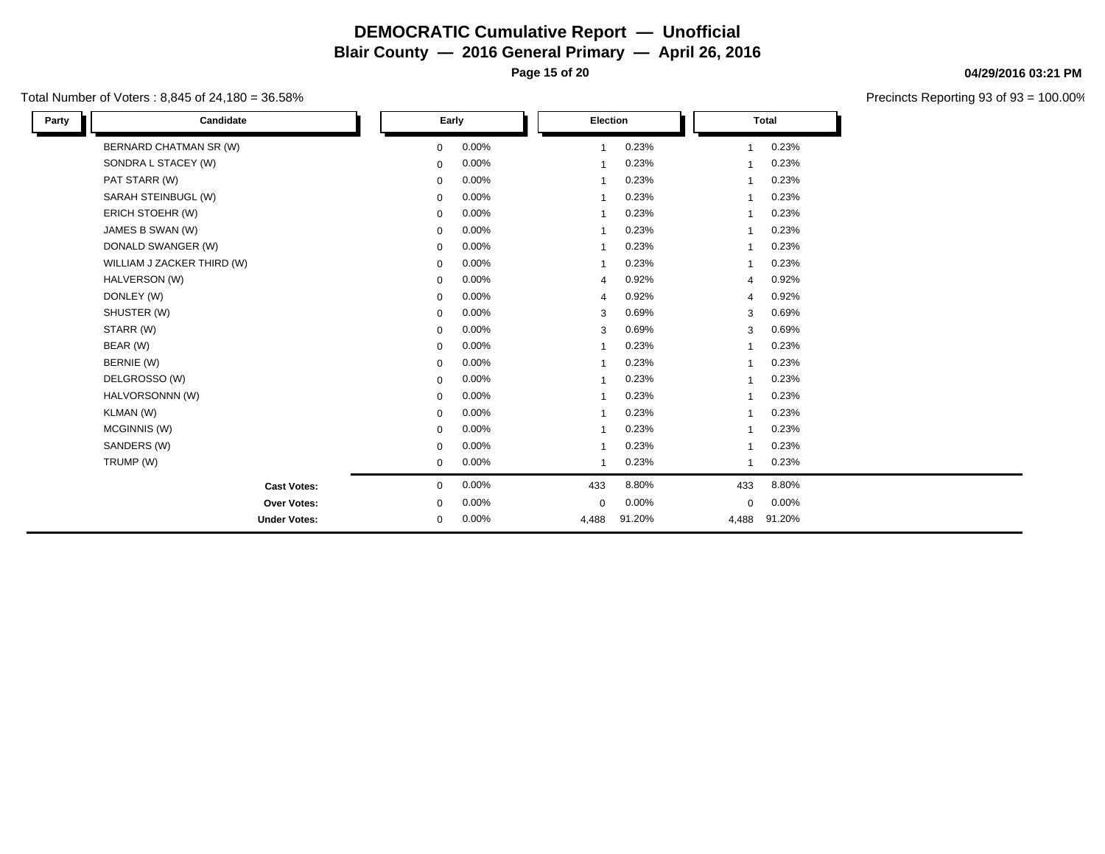**Page 15 of 20**

## Total Number of Voters : 8,845 of 24,180 = 36.58%

| Candidate<br>Party         | Early                |                | Election |                | <b>Total</b> |  |
|----------------------------|----------------------|----------------|----------|----------------|--------------|--|
| BERNARD CHATMAN SR (W)     | 0.00%<br>0           | 1              | 0.23%    |                | 0.23%        |  |
| SONDRA L STACEY (W)        | 0.00%<br>$\mathbf 0$ | 1              | 0.23%    |                | 0.23%        |  |
| PAT STARR (W)              | 0.00%<br>$\mathbf 0$ | 1              | 0.23%    |                | 0.23%        |  |
| SARAH STEINBUGL (W)        | 0.00%<br>$\mathbf 0$ | 1              | 0.23%    |                | 0.23%        |  |
| ERICH STOEHR (W)           | 0.00%<br>$\mathbf 0$ | 1              | 0.23%    | 1              | 0.23%        |  |
| JAMES B SWAN (W)           | 0.00%<br>0           | 1              | 0.23%    | 1              | 0.23%        |  |
| DONALD SWANGER (W)         | 0.00%<br>0           | 1              | 0.23%    | 1              | 0.23%        |  |
| WILLIAM J ZACKER THIRD (W) | 0.00%<br>$\mathbf 0$ | 1              | 0.23%    | 1              | 0.23%        |  |
| HALVERSON (W)              | 0.00%<br>$\mathbf 0$ | 4              | 0.92%    | $\overline{4}$ | 0.92%        |  |
| DONLEY (W)                 | 0.00%<br>$\mathbf 0$ | 4              | 0.92%    | 4              | 0.92%        |  |
| SHUSTER (W)                | 0.00%<br>$\mathbf 0$ | 3              | 0.69%    | 3              | 0.69%        |  |
| STARR (W)                  | 0.00%<br>$\mathbf 0$ | 3              | 0.69%    | 3              | 0.69%        |  |
| BEAR (W)                   | 0.00%<br>$\mathbf 0$ | 1              | 0.23%    | 1              | 0.23%        |  |
| BERNIE (W)                 | 0.00%<br>$\mathbf 0$ | $\overline{1}$ | 0.23%    | 1              | 0.23%        |  |
| DELGROSSO (W)              | 0.00%<br>$\mathbf 0$ | 1              | 0.23%    | 1              | 0.23%        |  |
| HALVORSONNN (W)            | 0.00%<br>0           | $\overline{1}$ | 0.23%    | $\overline{1}$ | 0.23%        |  |
| KLMAN (W)                  | 0.00%<br>$\mathbf 0$ | $\overline{1}$ | 0.23%    | $\overline{1}$ | 0.23%        |  |
| MCGINNIS (W)               | 0.00%<br>0           | -1             | 0.23%    | $\overline{1}$ | 0.23%        |  |
| SANDERS (W)                | 0.00%<br>0           | 1              | 0.23%    | 1              | 0.23%        |  |
| TRUMP (W)                  | 0.00%<br>$\mathbf 0$ | 1              | 0.23%    | 1              | 0.23%        |  |
| <b>Cast Votes:</b>         | 0.00%<br>0           | 433            | 8.80%    | 433            | 8.80%        |  |
| Over Votes:                | 0.00%<br>$\mathbf 0$ | $\mathbf 0$    | 0.00%    | $\mathbf 0$    | 0.00%        |  |
| <b>Under Votes:</b>        | 0.00%<br>0           | 4,488          | 91.20%   | 4,488          | 91.20%       |  |

#### **04/29/2016 03:21 PM**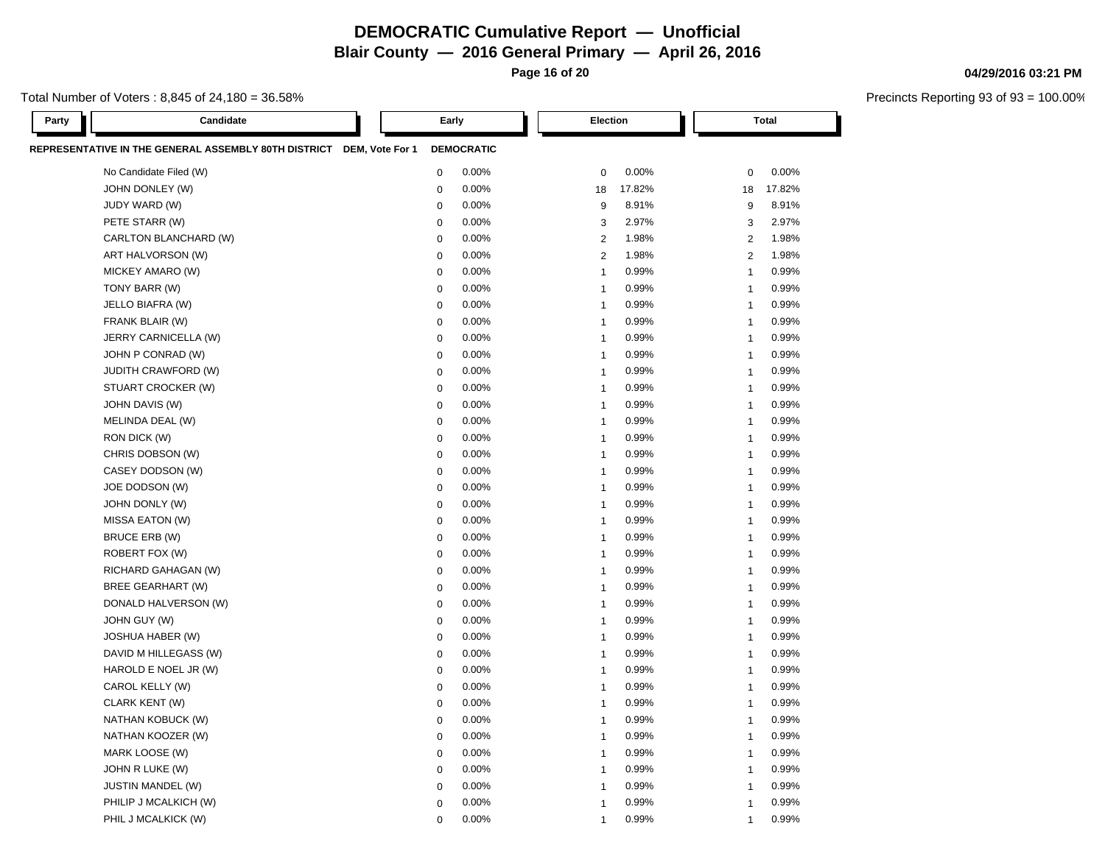**Page 16 of 20**

### Total Number of Voters : 8,845 of 24,180 = 36.58%

Precincts Reporting 93 of 93 = 100.00%

**04/29/2016 03:21 PM**

| Party | Candidate                                                            | Early            |                   | <b>Election</b>         |        |                | <b>Total</b> |  |
|-------|----------------------------------------------------------------------|------------------|-------------------|-------------------------|--------|----------------|--------------|--|
|       | REPRESENTATIVE IN THE GENERAL ASSEMBLY 80TH DISTRICT DEM, Vote For 1 |                  | <b>DEMOCRATIC</b> |                         |        |                |              |  |
|       | No Candidate Filed (W)                                               | $\mathbf 0$      | 0.00%             | $\mathbf 0$             | 0.00%  | $\mathbf 0$    | 0.00%        |  |
|       | JOHN DONLEY (W)                                                      | $\mathbf 0$      | 0.00%             | 18                      | 17.82% | 18             | 17.82%       |  |
|       | JUDY WARD (W)                                                        | $\mathbf 0$      | 0.00%             | 9                       | 8.91%  | 9              | 8.91%        |  |
|       | PETE STARR (W)                                                       | $\mathbf 0$      | 0.00%             | 3                       | 2.97%  | 3              | 2.97%        |  |
|       | CARLTON BLANCHARD (W)                                                | $\mathbf 0$      | 0.00%             | $\overline{2}$          | 1.98%  | 2              | 1.98%        |  |
|       | ART HALVORSON (W)                                                    | $\mathbf 0$      | 0.00%             | $\overline{2}$          | 1.98%  | $\overline{2}$ | 1.98%        |  |
|       | MICKEY AMARO (W)                                                     | $\pmb{0}$        | 0.00%             | $\overline{1}$          | 0.99%  | $\mathbf{1}$   | 0.99%        |  |
|       | TONY BARR (W)                                                        | $\mathbf 0$      | 0.00%             | $\overline{1}$          | 0.99%  | $\mathbf{1}$   | 0.99%        |  |
|       | JELLO BIAFRA (W)                                                     | $\mathbf 0$      | 0.00%             | $\overline{1}$          | 0.99%  | $\mathbf{1}$   | 0.99%        |  |
|       | FRANK BLAIR (W)                                                      | $\mathbf 0$      | 0.00%             | $\overline{1}$          | 0.99%  | $\mathbf{1}$   | 0.99%        |  |
|       | JERRY CARNICELLA (W)                                                 | $\mathbf 0$      | 0.00%             | $\overline{1}$          | 0.99%  | $\mathbf{1}$   | 0.99%        |  |
|       | JOHN P CONRAD (W)                                                    | $\mathbf 0$      | 0.00%             | $\overline{1}$          | 0.99%  | $\mathbf{1}$   | 0.99%        |  |
|       | <b>JUDITH CRAWFORD (W)</b>                                           | $\mathbf 0$      | 0.00%             | $\overline{\mathbf{1}}$ | 0.99%  | $\mathbf{1}$   | 0.99%        |  |
|       | STUART CROCKER (W)                                                   | $\pmb{0}$        | 0.00%             | $\overline{\mathbf{1}}$ | 0.99%  | $\mathbf{1}$   | 0.99%        |  |
|       | JOHN DAVIS (W)                                                       | $\mathbf 0$      | 0.00%             | $\overline{1}$          | 0.99%  | $\mathbf{1}$   | 0.99%        |  |
|       | MELINDA DEAL (W)                                                     | $\mathbf 0$      | 0.00%             | $\overline{\mathbf{1}}$ | 0.99%  | $\mathbf{1}$   | 0.99%        |  |
|       | RON DICK (W)                                                         | $\mathbf 0$      | 0.00%             | $\overline{\mathbf{1}}$ | 0.99%  | $\mathbf{1}$   | 0.99%        |  |
|       | CHRIS DOBSON (W)                                                     | $\pmb{0}$        | 0.00%             | $\overline{\mathbf{1}}$ | 0.99%  | $\mathbf{1}$   | 0.99%        |  |
|       | CASEY DODSON (W)                                                     | $\mathbf 0$      | 0.00%             | $\overline{1}$          | 0.99%  | $\mathbf{1}$   | 0.99%        |  |
|       | JOE DODSON (W)                                                       | $\mathbf 0$      | 0.00%             | $\overline{1}$          | 0.99%  | $\mathbf{1}$   | 0.99%        |  |
|       | JOHN DONLY (W)                                                       | $\mathbf 0$      | 0.00%             | $\overline{\mathbf{1}}$ | 0.99%  | $\mathbf{1}$   | 0.99%        |  |
|       | MISSA EATON (W)                                                      | $\mathbf 0$      | 0.00%             | $\overline{1}$          | 0.99%  | $\mathbf{1}$   | 0.99%        |  |
|       | BRUCE ERB (W)                                                        | $\boldsymbol{0}$ | 0.00%             | $\overline{1}$          | 0.99%  | $\mathbf{1}$   | 0.99%        |  |
|       | ROBERT FOX (W)                                                       | $\boldsymbol{0}$ | 0.00%             | $\overline{1}$          | 0.99%  | $\mathbf{1}$   | 0.99%        |  |
|       | RICHARD GAHAGAN (W)                                                  | $\pmb{0}$        | 0.00%             | $\overline{1}$          | 0.99%  | $\mathbf{1}$   | 0.99%        |  |
|       | <b>BREE GEARHART (W)</b>                                             | $\pmb{0}$        | 0.00%             | $\overline{1}$          | 0.99%  | $\mathbf{1}$   | 0.99%        |  |
|       | DONALD HALVERSON (W)                                                 | $\mathbf 0$      | 0.00%             | $\overline{1}$          | 0.99%  | $\mathbf{1}$   | 0.99%        |  |
|       | JOHN GUY (W)                                                         | $\mathbf 0$      | 0.00%             | $\overline{1}$          | 0.99%  | $\mathbf{1}$   | 0.99%        |  |
|       | <b>JOSHUA HABER (W)</b>                                              | $\boldsymbol{0}$ | 0.00%             | $\overline{1}$          | 0.99%  | $\mathbf{1}$   | 0.99%        |  |
|       | DAVID M HILLEGASS (W)                                                | $\pmb{0}$        | 0.00%             | $\overline{1}$          | 0.99%  | $\mathbf{1}$   | 0.99%        |  |
|       | HAROLD E NOEL JR (W)                                                 | $\boldsymbol{0}$ | 0.00%             | $\overline{1}$          | 0.99%  | $\mathbf{1}$   | 0.99%        |  |
|       | CAROL KELLY (W)                                                      | $\mathbf 0$      | 0.00%             | $\overline{1}$          | 0.99%  | $\mathbf{1}$   | 0.99%        |  |
|       | CLARK KENT (W)                                                       | $\mathbf 0$      | 0.00%             | $\overline{1}$          | 0.99%  | $\mathbf{1}$   | 0.99%        |  |
|       | NATHAN KOBUCK (W)                                                    | $\mathbf 0$      | 0.00%             | $\overline{1}$          | 0.99%  | $\mathbf{1}$   | 0.99%        |  |
|       | NATHAN KOOZER (W)                                                    | $\mathbf 0$      | 0.00%             | $\overline{1}$          | 0.99%  | $\mathbf{1}$   | 0.99%        |  |
|       | MARK LOOSE (W)                                                       | $\mathbf 0$      | 0.00%             | $\overline{1}$          | 0.99%  | $\mathbf{1}$   | 0.99%        |  |
|       | JOHN R LUKE (W)                                                      | $\mathbf 0$      | 0.00%             | $\overline{1}$          | 0.99%  | $\mathbf{1}$   | 0.99%        |  |
|       | <b>JUSTIN MANDEL (W)</b>                                             | $\mathbf 0$      | 0.00%             | $\overline{1}$          | 0.99%  | $\mathbf 1$    | 0.99%        |  |
|       | PHILIP J MCALKICH (W)                                                | $\mathbf 0$      | 0.00%             | $\overline{1}$          | 0.99%  | $\mathbf{1}$   | 0.99%        |  |
|       | PHIL J MCALKICK (W)                                                  | $\mathbf 0$      | 0.00%             | $\overline{1}$          | 0.99%  | $\overline{1}$ | 0.99%        |  |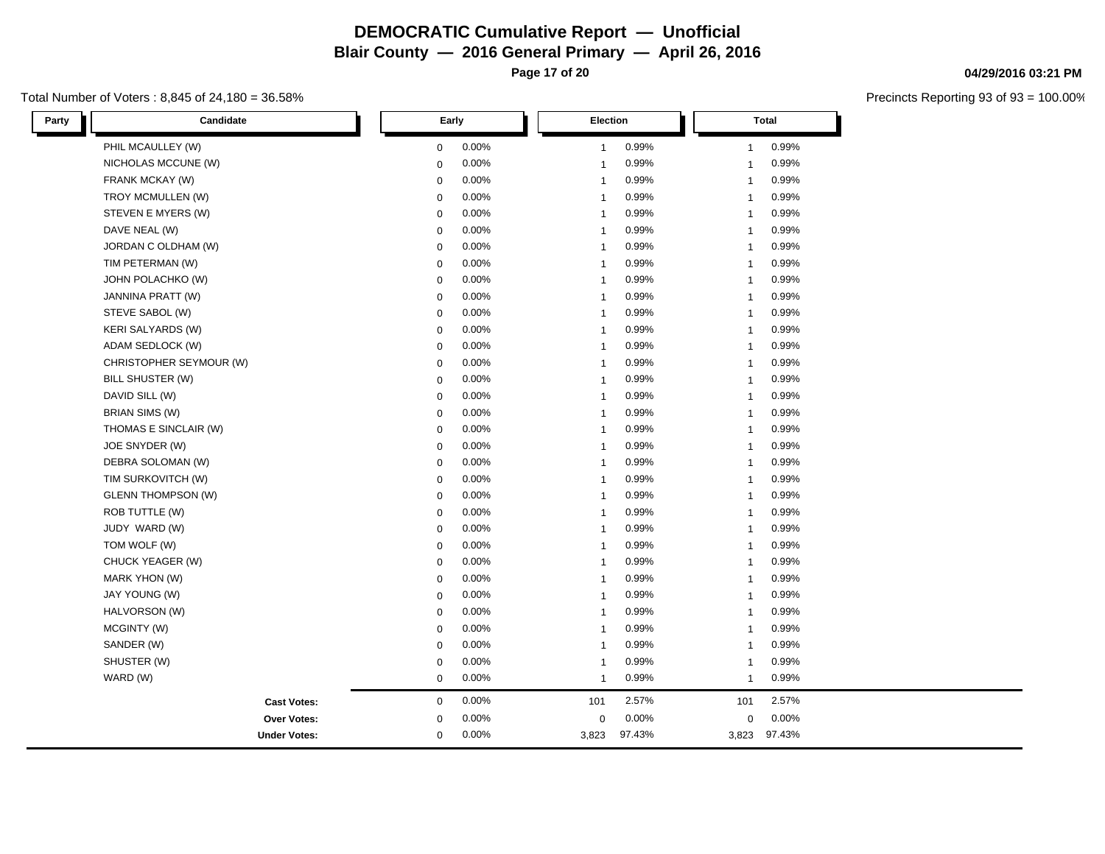**Page 17 of 20**

## Total Number of Voters : 8,845 of 24,180 = 36.58%

| Party | Candidate                 | Early       |       |              | <b>Election</b> |              | Total  |  |
|-------|---------------------------|-------------|-------|--------------|-----------------|--------------|--------|--|
|       | PHIL MCAULLEY (W)         | $\mathbf 0$ | 0.00% | $\mathbf{1}$ | 0.99%           | $\mathbf{1}$ | 0.99%  |  |
|       | NICHOLAS MCCUNE (W)       | $\mathbf 0$ | 0.00% | $\mathbf{1}$ | 0.99%           | $\mathbf{1}$ | 0.99%  |  |
|       | FRANK MCKAY (W)           | $\mathbf 0$ | 0.00% | $\mathbf{1}$ | 0.99%           | $\mathbf{1}$ | 0.99%  |  |
|       | TROY MCMULLEN (W)         | $\mathbf 0$ | 0.00% | $\mathbf{1}$ | 0.99%           | $\mathbf{1}$ | 0.99%  |  |
|       | STEVEN E MYERS (W)        | $\mathbf 0$ | 0.00% | $\mathbf{1}$ | 0.99%           | $\mathbf{1}$ | 0.99%  |  |
|       | DAVE NEAL (W)             | $\mathbf 0$ | 0.00% | $\mathbf{1}$ | 0.99%           | $\mathbf{1}$ | 0.99%  |  |
|       | JORDAN C OLDHAM (W)       | $\mathbf 0$ | 0.00% | $\mathbf{1}$ | 0.99%           | $\mathbf{1}$ | 0.99%  |  |
|       | TIM PETERMAN (W)          | $\mathbf 0$ | 0.00% | $\mathbf{1}$ | 0.99%           | $\mathbf{1}$ | 0.99%  |  |
|       | JOHN POLACHKO (W)         | $\mathbf 0$ | 0.00% | $\mathbf{1}$ | 0.99%           | $\mathbf{1}$ | 0.99%  |  |
|       | JANNINA PRATT (W)         | $\mathbf 0$ | 0.00% | $\mathbf{1}$ | 0.99%           | $\mathbf{1}$ | 0.99%  |  |
|       | STEVE SABOL (W)           | $\mathbf 0$ | 0.00% | $\mathbf{1}$ | 0.99%           | $\mathbf{1}$ | 0.99%  |  |
|       | <b>KERI SALYARDS (W)</b>  | $\mathbf 0$ | 0.00% | $\mathbf{1}$ | 0.99%           | $\mathbf{1}$ | 0.99%  |  |
|       | ADAM SEDLOCK (W)          | $\mathbf 0$ | 0.00% | $\mathbf{1}$ | 0.99%           | $\mathbf{1}$ | 0.99%  |  |
|       | CHRISTOPHER SEYMOUR (W)   | $\mathbf 0$ | 0.00% | $\mathbf{1}$ | 0.99%           | $\mathbf{1}$ | 0.99%  |  |
|       | BILL SHUSTER (W)          | $\mathbf 0$ | 0.00% | $\mathbf{1}$ | 0.99%           | $\mathbf{1}$ | 0.99%  |  |
|       | DAVID SILL (W)            | $\mathbf 0$ | 0.00% | $\mathbf{1}$ | 0.99%           | $\mathbf{1}$ | 0.99%  |  |
|       | <b>BRIAN SIMS (W)</b>     | $\mathbf 0$ | 0.00% | $\mathbf{1}$ | 0.99%           | $\mathbf{1}$ | 0.99%  |  |
|       | THOMAS E SINCLAIR (W)     | $\mathbf 0$ | 0.00% | $\mathbf{1}$ | 0.99%           | $\mathbf{1}$ | 0.99%  |  |
|       | JOE SNYDER (W)            | $\mathbf 0$ | 0.00% | $\mathbf{1}$ | 0.99%           | $\mathbf{1}$ | 0.99%  |  |
|       | DEBRA SOLOMAN (W)         | $\mathbf 0$ | 0.00% | $\mathbf{1}$ | 0.99%           | $\mathbf{1}$ | 0.99%  |  |
|       | TIM SURKOVITCH (W)        | $\mathbf 0$ | 0.00% | $\mathbf{1}$ | 0.99%           | $\mathbf{1}$ | 0.99%  |  |
|       | <b>GLENN THOMPSON (W)</b> | $\mathbf 0$ | 0.00% | $\mathbf{1}$ | 0.99%           | $\mathbf{1}$ | 0.99%  |  |
|       | ROB TUTTLE (W)            | $\mathbf 0$ | 0.00% | $\mathbf{1}$ | 0.99%           | $\mathbf{1}$ | 0.99%  |  |
|       | JUDY WARD (W)             | $\mathbf 0$ | 0.00% | $\mathbf{1}$ | 0.99%           | $\mathbf{1}$ | 0.99%  |  |
|       | TOM WOLF (W)              | $\mathbf 0$ | 0.00% | $\mathbf{1}$ | 0.99%           | $\mathbf{1}$ | 0.99%  |  |
|       | CHUCK YEAGER (W)          | $\mathbf 0$ | 0.00% | $\mathbf{1}$ | 0.99%           | $\mathbf{1}$ | 0.99%  |  |
|       | <b>MARK YHON (W)</b>      | $\mathbf 0$ | 0.00% | $\mathbf{1}$ | 0.99%           | $\mathbf{1}$ | 0.99%  |  |
|       | JAY YOUNG (W)             | $\mathbf 0$ | 0.00% | $\mathbf{1}$ | 0.99%           | $\mathbf{1}$ | 0.99%  |  |
|       | HALVORSON (W)             | $\mathbf 0$ | 0.00% | $\mathbf{1}$ | 0.99%           | $\mathbf{1}$ | 0.99%  |  |
|       | MCGINTY (W)               | $\mathbf 0$ | 0.00% | $\mathbf{1}$ | 0.99%           | $\mathbf{1}$ | 0.99%  |  |
|       | SANDER (W)                | $\mathbf 0$ | 0.00% | $\mathbf{1}$ | 0.99%           | $\mathbf{1}$ | 0.99%  |  |
|       | SHUSTER (W)               | $\mathbf 0$ | 0.00% | $\mathbf{1}$ | 0.99%           | $\mathbf{1}$ | 0.99%  |  |
|       | WARD (W)                  | $\mathbf 0$ | 0.00% | $\mathbf{1}$ | 0.99%           | $\mathbf{1}$ | 0.99%  |  |
|       | <b>Cast Votes:</b>        | $\pmb{0}$   | 0.00% | 101          | 2.57%           | 101          | 2.57%  |  |
|       | Over Votes:               | $\mathbf 0$ | 0.00% | $\mathbf 0$  | 0.00%           | $\mathbf 0$  | 0.00%  |  |
|       | <b>Under Votes:</b>       | $\mathbf 0$ | 0.00% | 3,823        | 97.43%          | 3,823        | 97.43% |  |

# **04/29/2016 03:21 PM**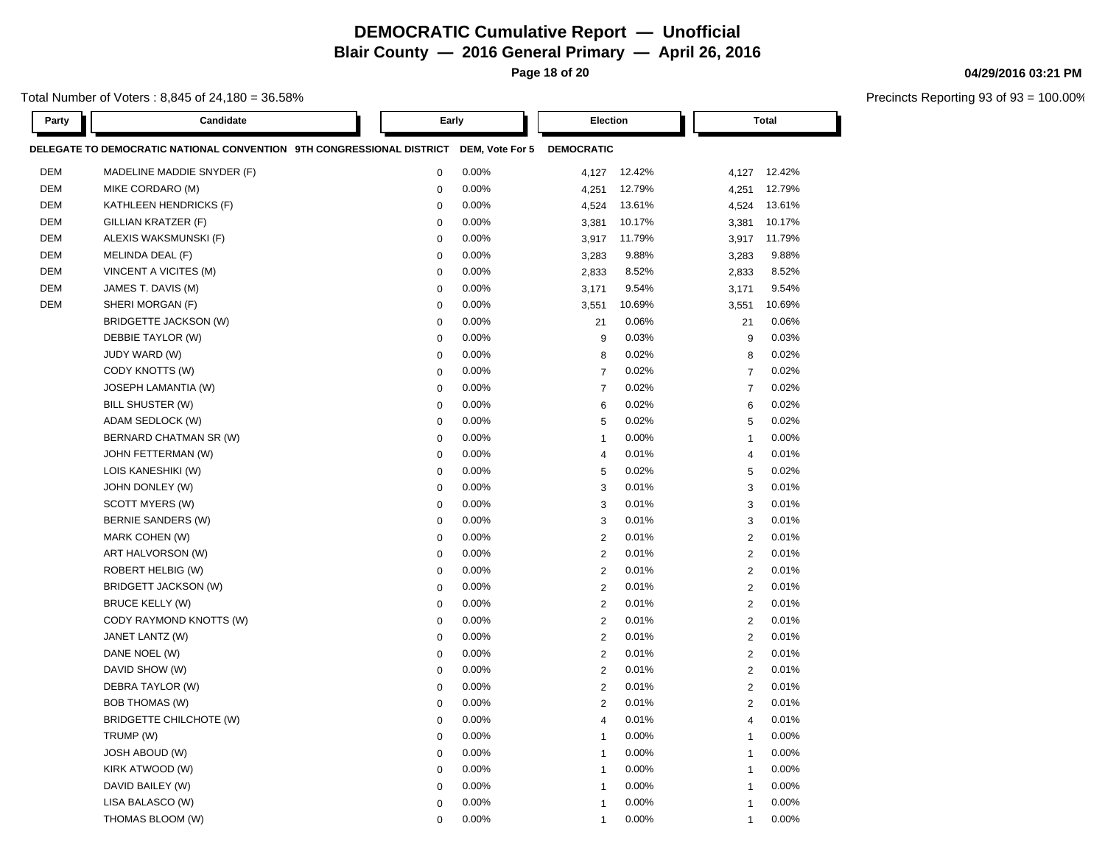**Page 18 of 20**

#### Total Number of Voters : 8,845 of 24,180 = 36.58%

**Party Candidate Early Election Total DELEGATE TO DEMOCRATIC NATIONAL CONVENTION 9TH CONGRESSIONAL DISTRICT DEM, Vote For 5 DEMOCRATIC** DEM MADELINE MADDIE SNYDER (F) 0 0.00% 4,127 12.42% 4,127 12.42% DEM MIKE CORDARO (M) 0 0.00% 4,251 12.79% 4,251 12.79% DEM KATHLEEN HENDRICKS (F) 0 0.00% 4,524 13.61% 4,524 13.61% DEM GILLIAN KRATZER (F) 0 0.00% 3,381 10.17% 3,381 10.17% DEM ALEXIS WAKSMUNSKI (F) 0 0.00% 3,917 11.79% 3,917 11.79% DEM MELINDA DEAL (F) 0 0.00% 3,283 9.88% 3,283 9.88% DEM VINCENT A VICITES (M) 0 0.00% 2,833 8.52% 2,833 8.52% DEM JAMES T. DAVIS (M) 0 0.00% 3,171 9.54% 3,171 9.54% DEM SHERI MORGAN (F) 0 0.00% 3,551 10.69% 3,551 10.69% BRIDGETTE JACKSON (W) 0 0.00% 21 0.06% 21 0.06% DEBBIE TAYLOR (W) 0 0.00% 9 0.03% 9 0.03% JUDY WARD (W) 0 0.00% 8 0.02% 8 0.02% CODY KNOTTS (W) 0 0.00% 7 0.02% 7 0.02% JOSEPH LAMANTIA (W) 0 0.00% 7 0.02% 7 0.02% BILL SHUSTER (W) 0 0.00% 6 0.02% 6 0.02% ADAM SEDLOCK (W) 0 0.00% 5 0.02% 5 0.02% BERNARD CHATMAN SR (W)  $0.00\%$  0.00% 1 0.00% 1 0.00% 1 0.00% JOHN FETTERMAN (W) 0 0.00% 4 0.01% 4 0.01% LOIS KANESHIKI (W) 0 0.00% 5 0.02% 5 0.02% JOHN DONLEY (W) 0 0.00% 3 0.01% 3 0.01%  $\text{SCOTT MYERS (W)} \quad \text{SCOTT MYERS (W)} \quad \text{SFR} \quad \text{SFR} \quad \text{SFR} \quad \text{SFR} \quad \text{SFR} \quad \text{SFR} \quad \text{SFR} \quad \text{SFR} \quad \text{SFR} \quad \text{SFR} \quad \text{SFR} \quad \text{SFR} \quad \text{SFR} \quad \text{SFR} \quad \text{SFR} \quad \text{SFR} \quad \text{SFR} \quad \text{SFR} \quad \text{SFR} \quad \text{SFR} \quad \text{SFR} \quad \text{SFR} \quad \text{SFR} \quad \text{SFR} \quad \text{$ BERNIE SANDERS (W) 0 0.00% 3 0.01% 3 0.01% MARK COHEN (W) 0 0.00% 2 0.01% 2 0.01% ART HALVORSON (W) 0 0.00% 2 0.01% 2 0.01% ROBERT HELBIG (W) 0 0.00% 2 0.01% 2 0.01% BRIDGETT JACKSON (W) 0 0.00% 2 0.01% 2 0.01% BRUCE KELLY (W) 0 0.00% 2 0.01% 2 0.01% CODY RAYMOND KNOTTS (W) 0 0.00% 2 0.01% 2 0.01% JANET LANTZ (W) 0 0.00% 2 0.01% 2 0.01% DANE NOEL (W) 0 0.00% 2 0.01% 2 0.01% DAVID SHOW (W) 0 0.00% 2 0.01% 2 0.01% DEBRA TAYLOR (W) 0 0.00% 2 0.01% 2 0.01% BOB THOMAS (W) 0 0.00% 2 0.01% 2 0.01% BRIDGETTE CHILCHOTE (W) 0 0.00% 4 0.01% 4 0.01% TRUMP (W) 0 0.00% 1 0.00% 1 0.00% JOSH ABOUD (W) 0 0.00% 1 0.00% 1 0.00% KIRK ATWOOD (W) 0 0.00% 1 0.00% 1 0.00% DAVID BAILEY (W) 0 0.00% 1 0.00% 1 0.00% LISA BALASCO (W) 0 0.00% 1 0.00% 1 0.00%

THOMAS BLOOM (W) 0 0.00% 1 0.00% 1 0.00%

#### **04/29/2016 03:21 PM**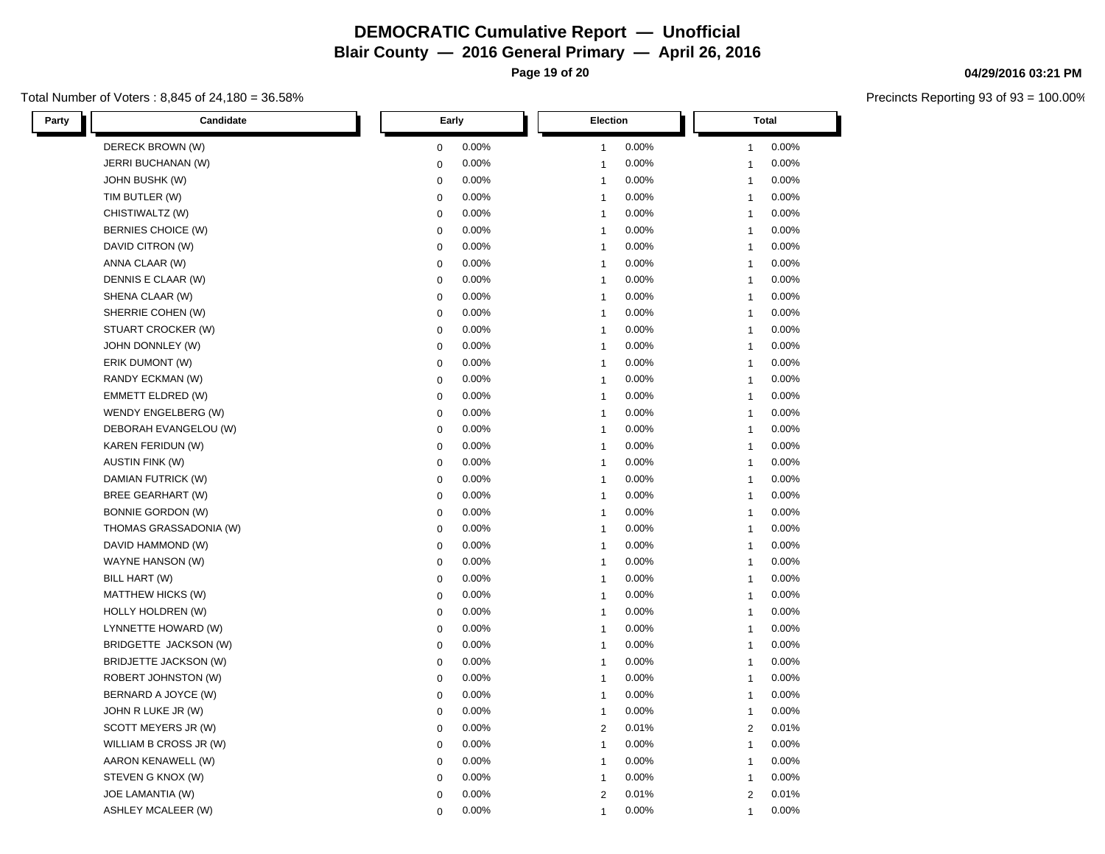**Page 19 of 20**

### Total Number of Voters : 8,845 of 24,180 = 36.58%

| <b>Party</b> | Candidate                    |              | Early |                         | Election |                | <b>Total</b> |  |
|--------------|------------------------------|--------------|-------|-------------------------|----------|----------------|--------------|--|
|              | DERECK BROWN (W)             | $\mathbf 0$  | 0.00% | $\overline{\mathbf{1}}$ | 0.00%    | 1              | 0.00%        |  |
|              | JERRI BUCHANAN (W)           | $\mathbf 0$  | 0.00% | $\overline{1}$          | 0.00%    | $\mathbf 1$    | 0.00%        |  |
|              | JOHN BUSHK (W)               | $\mathbf 0$  | 0.00% | $\overline{1}$          | 0.00%    | $\overline{1}$ | 0.00%        |  |
|              | TIM BUTLER (W)               | $\mathbf 0$  | 0.00% | $\overline{1}$          | 0.00%    | $\mathbf 1$    | 0.00%        |  |
|              | CHISTIWALTZ (W)              | $\mathbf 0$  | 0.00% | $\overline{1}$          | 0.00%    | $\mathbf 1$    | 0.00%        |  |
|              | BERNIES CHOICE (W)           | $\mathbf 0$  | 0.00% | $\overline{1}$          | 0.00%    | $\mathbf 1$    | 0.00%        |  |
|              | DAVID CITRON (W)             | $\mathbf 0$  | 0.00% | $\overline{1}$          | 0.00%    | $\mathbf 1$    | 0.00%        |  |
|              | ANNA CLAAR (W)               | $\mathbf 0$  | 0.00% | $\overline{1}$          | 0.00%    | $\mathbf{1}$   | 0.00%        |  |
|              | DENNIS E CLAAR (W)           | $\mathbf 0$  | 0.00% | $\overline{1}$          | 0.00%    | $\mathbf 1$    | 0.00%        |  |
|              | SHENA CLAAR (W)              | $\mathbf 0$  | 0.00% | $\overline{1}$          | 0.00%    | $\mathbf{1}$   | 0.00%        |  |
|              | SHERRIE COHEN (W)            | $\mathbf 0$  | 0.00% | $\overline{1}$          | 0.00%    | $\overline{1}$ | 0.00%        |  |
|              | STUART CROCKER (W)           | $\mathbf 0$  | 0.00% | $\overline{1}$          | 0.00%    | $\mathbf{1}$   | 0.00%        |  |
|              | JOHN DONNLEY (W)             | $\mathbf 0$  | 0.00% | $\overline{1}$          | 0.00%    | $\mathbf{1}$   | 0.00%        |  |
|              | ERIK DUMONT (W)              | $\mathbf{0}$ | 0.00% | $\overline{1}$          | 0.00%    | $\overline{1}$ | 0.00%        |  |
|              | RANDY ECKMAN (W)             | $\mathbf 0$  | 0.00% | $\overline{1}$          | 0.00%    | $\mathbf{1}$   | 0.00%        |  |
|              | <b>EMMETT ELDRED (W)</b>     | $\mathbf 0$  | 0.00% | $\overline{1}$          | 0.00%    | $\mathbf{1}$   | 0.00%        |  |
|              | WENDY ENGELBERG (W)          | $\mathbf 0$  | 0.00% | $\overline{1}$          | 0.00%    | $\overline{1}$ | 0.00%        |  |
|              | DEBORAH EVANGELOU (W)        | $\mathbf 0$  | 0.00% | $\overline{1}$          | 0.00%    | $\mathbf 1$    | 0.00%        |  |
|              | KAREN FERIDUN (W)            | $\mathbf 0$  | 0.00% | $\overline{1}$          | 0.00%    | $\overline{1}$ | 0.00%        |  |
|              | <b>AUSTIN FINK (W)</b>       | $\mathbf 0$  | 0.00% | $\overline{1}$          | 0.00%    | $\mathbf{1}$   | 0.00%        |  |
|              | DAMIAN FUTRICK (W)           | $\mathbf 0$  | 0.00% | $\overline{\mathbf{1}}$ | 0.00%    | $\mathbf 1$    | 0.00%        |  |
|              | <b>BREE GEARHART (W)</b>     | $\mathbf 0$  | 0.00% | $\overline{1}$          | 0.00%    | -1             | 0.00%        |  |
|              | <b>BONNIE GORDON (W)</b>     | $\mathbf 0$  | 0.00% | $\overline{1}$          | 0.00%    | $\overline{1}$ | 0.00%        |  |
|              | THOMAS GRASSADONIA (W)       | $\mathbf 0$  | 0.00% | $\overline{1}$          | 0.00%    | $\mathbf 1$    | 0.00%        |  |
|              | DAVID HAMMOND (W)            | $\mathbf 0$  | 0.00% | $\overline{1}$          | 0.00%    | $\overline{1}$ | 0.00%        |  |
|              | WAYNE HANSON (W)             | $\mathbf 0$  | 0.00% | $\overline{1}$          | 0.00%    | $\mathbf 1$    | 0.00%        |  |
|              | BILL HART (W)                | $\mathbf 0$  | 0.00% | $\overline{1}$          | 0.00%    | $\mathbf 1$    | 0.00%        |  |
|              | MATTHEW HICKS (W)            | $\mathbf 0$  | 0.00% | $\overline{1}$          | 0.00%    | $\overline{1}$ | 0.00%        |  |
|              | HOLLY HOLDREN (W)            | $\mathbf 0$  | 0.00% | $\overline{1}$          | 0.00%    | $\overline{1}$ | 0.00%        |  |
|              | LYNNETTE HOWARD (W)          | $\mathbf 0$  | 0.00% | $\overline{1}$          | 0.00%    | $\mathbf 1$    | 0.00%        |  |
|              | BRIDGETTE JACKSON (W)        | $\mathbf 0$  | 0.00% | $\overline{1}$          | 0.00%    | $\mathbf 1$    | 0.00%        |  |
|              | <b>BRIDJETTE JACKSON (W)</b> | $\mathbf 0$  | 0.00% | $\overline{1}$          | 0.00%    | $\overline{1}$ | 0.00%        |  |
|              | <b>ROBERT JOHNSTON (W)</b>   | $\mathbf 0$  | 0.00% | $\overline{1}$          | 0.00%    | $\mathbf{1}$   | 0.00%        |  |
|              | BERNARD A JOYCE (W)          | $\mathbf 0$  | 0.00% | $\overline{1}$          | 0.00%    | $\overline{1}$ | 0.00%        |  |
|              | JOHN R LUKE JR (W)           | $\mathbf 0$  | 0.00% | $\overline{1}$          | 0.00%    | $\mathbf{1}$   | 0.00%        |  |
|              | SCOTT MEYERS JR (W)          | $\mathbf 0$  | 0.00% | $\overline{2}$          | 0.01%    | 2              | 0.01%        |  |
|              | WILLIAM B CROSS JR (W)       | $\mathbf 0$  | 0.00% | $\overline{1}$          | 0.00%    | $\mathbf{1}$   | 0.00%        |  |
|              | AARON KENAWELL (W)           | $\mathbf 0$  | 0.00% | $\overline{1}$          | 0.00%    | $\mathbf 1$    | 0.00%        |  |
|              | STEVEN G KNOX (W)            | $\mathbf 0$  | 0.00% | $\overline{1}$          | 0.00%    | $\mathbf{1}$   | 0.00%        |  |
|              | JOE LAMANTIA (W)             | $\mathbf 0$  | 0.00% | $\overline{2}$          | 0.01%    | 2              | 0.01%        |  |
|              | <b>ASHLEY MCALEER (W)</b>    | $\Omega$     | 0.00% | 1                       | 0.00%    | 1              | 0.00%        |  |

# **04/29/2016 03:21 PM**